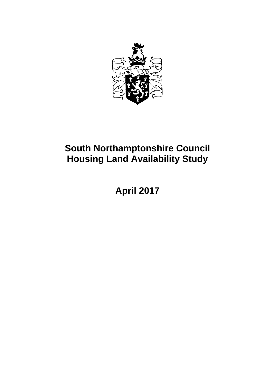

# **South Northamptonshire Council Housing Land Availability Study**

# **April 2017**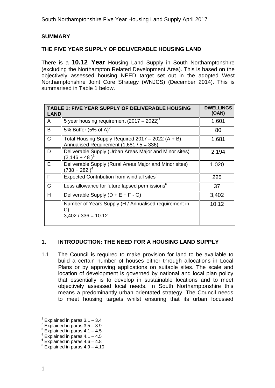### **SUMMARY**

#### **THE FIVE YEAR SUPPLY OF DELIVERABLE HOUSING LAND**

There is a **10.12 Year** Housing Land Supply in South Northamptonshire (excluding the Northampton Related Development Area). This is based on the objectively assessed housing NEED target set out in the adopted West Northamptonshire Joint Core Strategy (WNJCS) (December 2014). This is summarised in Table 1 below.

| LAND | <b>TABLE 1: FIVE YEAR SUPPLY OF DELIVERABLE HOUSING</b>                                         | <b>DWELLINGS</b><br>(OAN) |
|------|-------------------------------------------------------------------------------------------------|---------------------------|
| A    | 5 year housing requirement $(2017 - 2022)^{1}$                                                  | 1,601                     |
| B    | 5% Buffer (5% of A) <sup>2</sup>                                                                | 80                        |
| C    | Total Housing Supply Required 2017 - 2022 (A + B)<br>Annualised Requirement $(1,681 / 5 = 336)$ | 1,681                     |
| D    | Deliverable Supply (Urban Areas Major and Minor sites)<br>$(2, 146 + 48)^3$                     | 2,194                     |
| E    | Deliverable Supply (Rural Areas Major and Minor sites)<br>(738 + 282 ) $^4$                     | 1,020                     |
| F    | Expected Contribution from windfall sites <sup>5</sup>                                          | 225                       |
| G    | Less allowance for future lapsed permissions <sup>6</sup>                                       | 37                        |
| H    | Deliverable Supply $(D + E + F - G)$                                                            | 3,402                     |
|      | Number of Years Supply (H / Annualised requirement in<br>C)<br>$3,402 / 336 = 10.12$            | 10.12                     |

#### **1. INTRODUCTION: THE NEED FOR A HOUSING LAND SUPPLY**

1.1 The Council is required to make provision for land to be available to build a certain number of houses either through allocations in Local Plans or by approving applications on suitable sites. The scale and location of development is governed by national and local plan policy that essentially is to develop in sustainable locations and to meet objectively assessed local needs. In South Northamptonshire this means a predominantly urban orientated strategy. The Council needs to meet housing targets whilst ensuring that its urban focussed

l 1 Explained in paras 3.1 – 3.4

 $2$  Explained in paras  $3.5 - 3.9$ 

 $3$  Explained in paras 4.1 – 4.5

 $4$  Explained in paras  $4.1 - 4.5$ 

 $5$  Explained in paras  $4.6 - 4.8$ 

 $6$  Explained in paras  $4.9 - 4.10$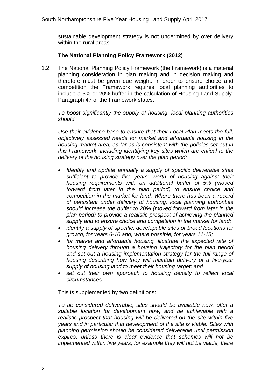sustainable development strategy is not undermined by over delivery within the rural areas.

#### **The National Planning Policy Framework (2012)**

1.2 The National Planning Policy Framework (the Framework) is a material planning consideration in plan making and in decision making and therefore must be given due weight. In order to ensure choice and competition the Framework requires local planning authorities to include a 5% or 20% buffer in the calculation of Housing Land Supply. Paragraph 47 of the Framework states:

*To boost significantly the supply of housing, local planning authorities should:* 

*Use their evidence base to ensure that their Local Plan meets the full, objectively assessed needs for market and affordable housing in the housing market area, as far as is consistent with the policies set out in this Framework, including identifying key sites which are critical to the delivery of the housing strategy over the plan period;* 

- *Identify and update annually a supply of specific deliverable sites sufficient to provide five years' worth of housing against their housing requirements with an additional buffer of 5% (moved forward from later in the plan period) to ensure choice and competition in the market for land. Where there has been a record of persistent under delivery of housing, local planning authorities should increase the buffer to 20% (moved forward from later in the plan period) to provide a realistic prospect of achieving the planned supply and to ensure choice and competition in the market for land;*
- *identify a supply of specific, developable sites or broad locations for growth, for years 6-10 and, where possible, for years 11-15;*
- *for market and affordable housing, illustrate the expected rate of housing delivery through a housing trajectory for the plan period and set out a housing implementation strategy for the full range of housing describing how they will maintain delivery of a five-year supply of housing land to meet their housing target; and*
- *set out their own approach to housing density to reflect local circumstances.*

This is supplemented by two definitions:

*To be considered deliverable, sites should be available now, offer a suitable location for development now, and be achievable with a realistic prospect that housing will be delivered on the site within five years and in particular that development of the site is viable. Sites with planning permission should be considered deliverable until permission expires, unless there is clear evidence that schemes will not be implemented within five years, for example they will not be viable, there*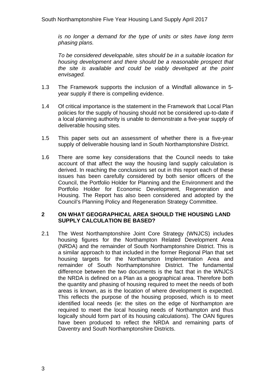*is no longer a demand for the type of units or sites have long term phasing plans.* 

*To be considered developable, sites should be in a suitable location for housing development and there should be a reasonable prospect that the site is available and could be viably developed at the point envisaged.* 

- 1.3 The Framework supports the inclusion of a Windfall allowance in 5 year supply if there is compelling evidence.
- 1.4 Of critical importance is the statement in the Framework that Local Plan policies for the supply of housing should not be considered up-to-date if a local planning authority is unable to demonstrate a five-year supply of deliverable housing sites.
- 1.5 This paper sets out an assessment of whether there is a five-year supply of deliverable housing land in South Northamptonshire District.
- 1.6 There are some key considerations that the Council needs to take account of that affect the way the housing land supply calculation is derived. In reaching the conclusions set out in this report each of these issues has been carefully considered by both senior officers of the Council, the Portfolio Holder for Planning and the Environment and the Portfolio Holder for Economic Development, Regeneration and Housing. The Report has also been considered and adopted by the Council's Planning Policy and Regeneration Strategy Committee.

#### **2 ON WHAT GEOGRAPHICAL AREA SHOULD THE HOUSING LAND SUPPLY CALCULATION BE BASED?**

2.1 The West Northamptonshire Joint Core Strategy (WNJCS) includes housing figures for the Northampton Related Development Area (NRDA) and the remainder of South Northamptonshire District. This is a similar approach to that included in the former Regional Plan that set housing targets for the Northampton Implementation Area and remainder of South Northamptonshire District. The fundamental difference between the two documents is the fact that in the WNJCS the NRDA is defined on a Plan as a geographical area. Therefore both the quantity and phasing of housing required to meet the needs of both areas is known, as is the location of where development is expected. This reflects the purpose of the housing proposed, which is to meet identified local needs (ie: the sites on the edge of Northampton are required to meet the local housing needs of Northampton and thus logically should form part of its housing calculations). The OAN figures have been produced to reflect the NRDA and remaining parts of Daventry and South Northamptonshire Districts.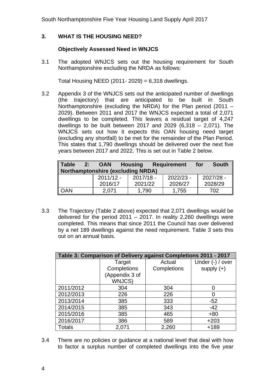South Northamptonshire Five Year Housing Land Supply April 2017

#### **3. WHAT IS THE HOUSING NEED?**

#### **Objectively Assessed Need in WNJCS**

3.1 The adopted WNJCS sets out the housing requirement for South Northamptonshire excluding the NRDA as follows:

Total Housing NEED (2011- 2029) =  $6,318$  dwellings.

3.2 Appendix 3 of the WNJCS sets out the anticipated number of dwellings (the trajectory) that are anticipated to be built in South Northamptonshire (excluding the NRDA) for the Plan period (2011 – 2029). Between 2011 and 2017 the WNJCS expected a total of 2,071 dwellings to be completed. This leaves a residual target of 4,247 dwellings to be built between 2017 and 2029  $(6,318 - 2,071)$ . The WNJCS sets out how it expects this OAN housing need target (excluding any shortfall) to be met for the remainder of the Plan Period. This states that 1,790 dwellings should be delivered over the next five years between 2017 and 2022. This is set out in Table 2 below.

| <b>Table</b><br>2: | <b>OAN</b><br><b>Northamptonshire (excluding NRDA)</b> | <b>Requirement</b><br><b>Housing</b> |             | <b>South</b><br>for |
|--------------------|--------------------------------------------------------|--------------------------------------|-------------|---------------------|
|                    | $2011/12 -$                                            | $2017/18 -$                          | $2022/23 -$ | 2027/28 -           |
|                    | 2016/17                                                | 2021/22                              | 2026/27     | 2028/29             |
| <b>OAN</b>         | 2,071                                                  | 1.790                                | 1,755       | 702                 |

3.3 The Trajectory (Table 2 above) expected that 2,071 dwellings would be delivered for the period  $2011 - 2017$ . In reality 2,260 dwellings were completed. This means that since 2011 the Council has over delivered by a net 189 dwellings against the need requirement. Table 3 sets this out on an annual basis.

| Table 3: Comparison of Delivery against Completions 2011 - 2017 |                |             |                  |  |  |  |  |  |  |
|-----------------------------------------------------------------|----------------|-------------|------------------|--|--|--|--|--|--|
|                                                                 | Target         | Actual      | Under (-) / over |  |  |  |  |  |  |
|                                                                 | Completions    | Completions | supply $(+)$     |  |  |  |  |  |  |
|                                                                 | (Appendix 3 of |             |                  |  |  |  |  |  |  |
|                                                                 | WNJCS)         |             |                  |  |  |  |  |  |  |
| 2011/2012                                                       | 304            | 304         |                  |  |  |  |  |  |  |
| 2012/2013                                                       | 226            | 226         | 0                |  |  |  |  |  |  |
| 2013/2014                                                       | 385            | 333         | $-52$            |  |  |  |  |  |  |
| 2014/2015                                                       | 385            | 343         | $-42$            |  |  |  |  |  |  |
| 2015/2016                                                       | 385            | 465         | $+80$            |  |  |  |  |  |  |
| 2016/2017                                                       | 386            | 589         | $+203$           |  |  |  |  |  |  |
| <b>Totals</b>                                                   | 2,071          | 2,260       | $+189$           |  |  |  |  |  |  |

3.4 There are no policies or guidance at a national level that deal with how to factor a surplus number of completed dwellings into the five year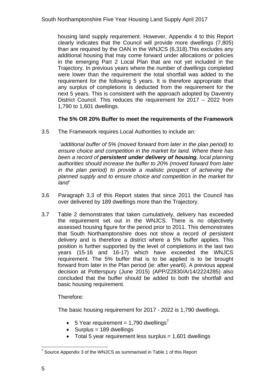housing land supply requirement. However, Appendix 4 to this Report clearly indicates that the Council will provide more dwellings (7,805) than are required by the OAN in the WNJCS (6,318).This excludes any additional housing that may come forward under allocations or policies in the emerging Part 2 Local Plan that are not yet included in the Trajectory. In previous years where the number of dwellings completed were lower than the requirement the total shortfall was added to the requirement for the following 5 years. It is therefore appropriate that any surplus of completions is deducted from the requirement for the next 5 years. This is consistent with the approach adopted by Daventry District Council. This reduces the requirement for 2017 – 2022 from 1,790 to 1,601 dwellings.

#### **The 5% OR 20% Buffer to meet the requirements of the Framework**

3.5 The Framework requires Local Authorities to include an:

 '*additional buffer of 5% (moved forward from later in the plan period) to ensure choice and competition in the market for land. Where there has been a record of persistent under delivery of housing, local planning authorities should increase the buffer to 20% (moved forward from later in the plan period) to provide a realistic prospect of achieving the planned supply and to ensure choice and competition in the market for land'* 

- 3.6 Paragraph 3.3 of this Report states that since 2011 the Council has over delivered by 189 dwellings more than the Trajectory.
- 3.7 Table 2 demonstrates that taken cumulatively, delivery has exceeded the requirement set out in the WNJCS. There is no objectively assessed housing figure for the period prior to 2011. This demonstrates that South Northamptonshire does not show a record of persistent delivery and is therefore a district where a 5% buffer applies. This position is further supported by the level of completions in the last two years (15-16 and 16-17) which have exceeded the WNJCS requirement. The 5% buffer that is to be applied is to be brought forward from later in the Plan period (ie: after year6). A previous appeal decision at Potterspury (June 2015) (APP/Z2830/A/14/2224285) also concluded that the buffer should be added to both the shortfall and basic housing requirement.

Therefore:

The basic housing requirement for 2017 - 2022 is 1,790 dwellings.

- 5 Year requirement = 1,790 dwellings<sup>7</sup>
- $\bullet$  Surplus = 189 dwellings
- Total 5 year requirement less surplus = 1,601 dwellings

TERREVILLE TO SUPPORT THE TABLE TO SUPPORT THE TABLE TO SUPPORT THE TABLE TO SUPPORT THE TABLE TABLE TO THE TA<br>To Support the WINGS of the WINGS as summarised in Table 1 of this Report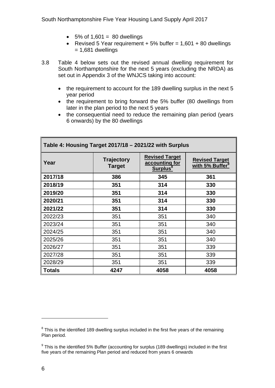- $\bullet$  5% of 1,601 = 80 dwellings
- Revised 5 Year requirement  $+5\%$  buffer = 1,601  $+80$  dwellings  $= 1,681$  dwellings
- 3.8 Table 4 below sets out the revised annual dwelling requirement for South Northamptonshire for the next 5 years (excluding the NRDA) as set out in Appendix 3 of the WNJCS taking into account:
	- the requirement to account for the 189 dwelling surplus in the next 5 year period
	- the requirement to bring forward the 5% buffer (80 dwellings from later in the plan period to the next 5 years
	- the consequential need to reduce the remaining plan period (years 6 onwards) by the 80 dwellings

| Table 4: Housing Target 2017/18 – 2021/22 with Surplus |                             |                                                      |      |  |  |  |  |  |
|--------------------------------------------------------|-----------------------------|------------------------------------------------------|------|--|--|--|--|--|
| Year                                                   | <b>Trajectory</b><br>Target | <b>Revised Target</b><br>with 5% Buffer <sup>9</sup> |      |  |  |  |  |  |
| 2017/18                                                | 386                         | 345                                                  | 361  |  |  |  |  |  |
| 2018/19                                                | 351                         | 314                                                  | 330  |  |  |  |  |  |
| 2019/20                                                | 351                         | 314                                                  | 330  |  |  |  |  |  |
| 2020/21                                                | 351                         | 314                                                  | 330  |  |  |  |  |  |
| 2021/22                                                | 351                         | 314                                                  | 330  |  |  |  |  |  |
| 2022/23                                                | 351                         | 351                                                  | 340  |  |  |  |  |  |
| 2023/24                                                | 351                         | 351                                                  | 340  |  |  |  |  |  |
| 2024/25                                                | 351                         | 351                                                  | 340  |  |  |  |  |  |
| 2025/26                                                | 351                         | 351                                                  | 340  |  |  |  |  |  |
| 2026/27                                                | 351                         | 351                                                  | 339  |  |  |  |  |  |
| 2027/28                                                | 351                         | 351                                                  | 339  |  |  |  |  |  |
| 2028/29                                                | 351                         | 351                                                  | 339  |  |  |  |  |  |
| <b>Totals</b>                                          | 4247                        | 4058                                                 | 4058 |  |  |  |  |  |

**Table 4: Housing Target 2017/18 – 2021/22 with Surplus** 

l

 $8$  This is the identified 189 dwelling surplus included in the first five years of the remaining Plan period.

<sup>&</sup>lt;sup>9</sup> This is the identified 5% Buffer (accounting for surplus (189 dwellings) included in the first five years of the remaining Plan period and reduced from years 6 onwards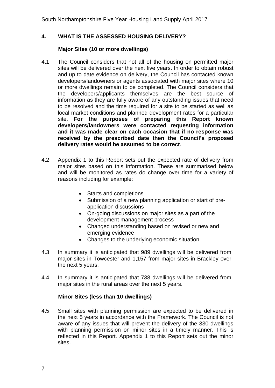#### **4. WHAT IS THE ASSESSED HOUSING DELIVERY?**

#### **Major Sites (10 or more dwellings)**

- 4.1 The Council considers that not all of the housing on permitted major sites will be delivered over the next five years. In order to obtain robust and up to date evidence on delivery, the Council has contacted known developers/landowners or agents associated with major sites where 10 or more dwellings remain to be completed. The Council considers that the developers/applicants themselves are the best source of information as they are fully aware of any outstanding issues that need to be resolved and the time required for a site to be started as well as local market conditions and planned development rates for a particular site. **For the purposes of preparing this Report known developers/landowners were contacted requesting information and it was made clear on each occasion that if no response was received by the prescribed date then the Council's proposed delivery rates would be assumed to be correct**.
- 4.2 Appendix 1 to this Report sets out the expected rate of delivery from major sites based on this information. These are summarised below and will be monitored as rates do change over time for a variety of reasons including for example:
	- Starts and completions
	- Submission of a new planning application or start of preapplication discussions
	- On-going discussions on major sites as a part of the development management process
	- Changed understanding based on revised or new and emerging evidence
	- Changes to the underlying economic situation
- 4.3 In summary it is anticipated that 989 dwellings will be delivered from major sites in Towcester and 1,157 from major sites in Brackley over the next 5 years.
- 4.4 In summary it is anticipated that 738 dwellings will be delivered from major sites in the rural areas over the next 5 years.

#### **Minor Sites (less than 10 dwellings)**

4.5 Small sites with planning permission are expected to be delivered in the next 5 years in accordance with the Framework. The Council is not aware of any issues that will prevent the delivery of the 330 dwellings with planning permission on minor sites in a timely manner. This is reflected in this Report. Appendix 1 to this Report sets out the minor sites.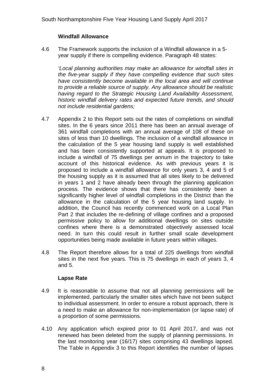#### **Windfall Allowance**

4.6 The Framework supports the inclusion of a Windfall allowance in a 5 year supply if there is compelling evidence. Paragraph 48 states:

*'Local planning authorities may make an allowance for windfall sites in the five-year supply if they have compelling evidence that such sites have consistently become available in the local area and will continue to provide a reliable source of supply. Any allowance should be realistic having regard to the Strategic Housing Land Availability Assessment, historic windfall delivery rates and expected future trends, and should not include residential gardens;* 

- 4.7 Appendix 2 to this Report sets out the rates of completions on windfall sites. In the 6 years since 2011 there has been an annual average of 361 windfall completions with an annual average of 108 of these on sites of less than 10 dwellings. The inclusion of a windfall allowance in the calculation of the 5 year housing land supply is well established and has been consistently supported at appeals. It is proposed to include a windfall of 75 dwellings per annum in the trajectory to take account of this historical evidence. As with previous years it is proposed to include a windfall allowance for only years 3, 4 and 5 of the housing supply as it is assumed that all sites likely to be delivered in years 1 and 2 have already been through the planning application process. The evidence shows that there has consistently been a significantly higher level of windfall completions in the District than the allowance in the calculation of the 5 year housing land supply. In addition, the Council has recently commenced work on a Local Plan Part 2 that includes the re-defining of village confines and a proposed permissive policy to allow for additional dwellings on sites outside confines where there is a demonstrated objectively assessed local need. In turn this could result in further small scale development opportunities being made available in future years within villages.
- 4.8 The Report therefore allows for a total of 225 dwellings from windfall sites in the next five years. This is 75 dwellings in each of years 3, 4 and 5.

#### **Lapse Rate**

- 4.9 It is reasonable to assume that not all planning permissions will be implemented, particularly the smaller sites which have not been subject to individual assessment. In order to ensure a robust approach, there is a need to make an allowance for non-implementation (or lapse rate) of a proportion of some permissions.
- the last monitoring year (16/17) sites comprising 43 dwellings lapsed. The Table in Appendix 3 to this Report identifies the number of lapses 4.10 Any application which expired prior to 01 April 2017, and was not renewed has been deleted from the supply of planning permissions. In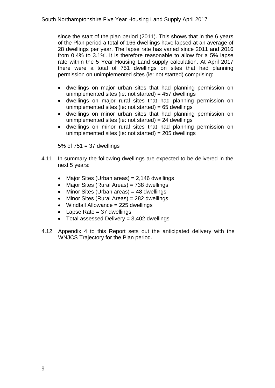since the start of the plan period (2011). This shows that in the 6 years of the Plan period a total of 166 dwellings have lapsed at an average of 28 dwellings per year. The lapse rate has varied since 2011 and 2016 from 0.4% to 3.1%. It is therefore reasonable to allow for a 5% lapse rate within the 5 Year Housing Land supply calculation. At April 2017 there were a total of 751 dwellings on sites that had planning permission on unimplemented sites (ie: not started) comprising:

- dwellings on major urban sites that had planning permission on unimplemented sites (ie: not started) =  $457$  dwellings
- dwellings on major rural sites that had planning permission on unimplemented sites (ie: not started) =  $65$  dwellings
- dwellings on minor urban sites that had planning permission on unimplemented sites (ie: not started)  $= 24$  dwellings
- dwellings on minor rural sites that had planning permission on unimplemented sites (ie: not started) = 205 dwellings

 $5\%$  of  $751 = 37$  dwellings

- 4.11 In summary the following dwellings are expected to be delivered in the next 5 years:
	- Major Sites (Urban areas) = 2,146 dwellings
	- Major Sites (Rural Areas) =  $738$  dwellings
	- Minor Sites (Urban areas) = 48 dwellings
	- Minor Sites (Rural Areas) = 282 dwellings
	- $\bullet$  Windfall Allowance = 225 dwellings
	- Lapse Rate  $= 37$  dwellings
	- $\bullet$  Total assessed Delivery = 3,402 dwellings
- 4.12 Appendix 4 to this Report sets out the anticipated delivery with the WNJCS Trajectory for the Plan period.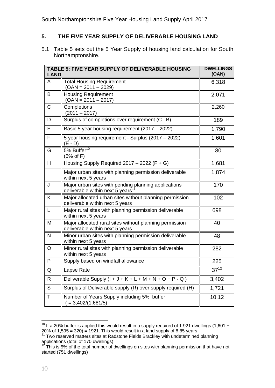#### **5. THE FIVE YEAR SUPPLY OF DELIVERABLE HOUSING LAND**

5.1 Table 5 sets out the 5 Year Supply of housing land calculation for South Northamptonshire.

| <b>LAND</b> | TABLE 5: FIVE YEAR SUPPLY OF DELIVERABLE HOUSING                                                     | <b>DWELLINGS</b><br>(OAN) |
|-------------|------------------------------------------------------------------------------------------------------|---------------------------|
| A           | <b>Total Housing Requirement</b><br>$(OAN = 2011 - 2029)$                                            | 6,318                     |
| В           | <b>Housing Requirement</b><br>$(OAN = 2011 - 2017)$                                                  | 2,071                     |
| С           | Completions<br>$(2011 - 2017)$                                                                       | 2,260                     |
| D           | Surplus of completions over requirement (C-B)                                                        | 189                       |
| Е           | Basic 5 year housing requirement (2017 - 2022)                                                       | 1,790                     |
| F           | 5 year housing requirement - Surplus (2017 - 2022)<br>$(E - D)$                                      | 1,601                     |
| G           | 5% Buffer <sup>10</sup><br>(5% of F)                                                                 | 80                        |
| H           | Housing Supply Required $2017 - 2022$ (F + G)                                                        | 1,681                     |
| L           | Major urban sites with planning permission deliverable<br>within next 5 years                        | 1,874                     |
| J           | Major urban sites with pending planning applications<br>deliverable within next 5 years <sup>1</sup> | 170                       |
| K           | Major allocated urban sites without planning permission<br>deliverable within next 5 years           | 102                       |
| L           | Major rural sites with planning permission deliverable<br>within next 5 years                        | 698                       |
| M           | Major allocated rural sites without planning permission<br>deliverable within next 5 years           | 40                        |
| N           | Minor urban sites with planning permission deliverable<br>within next 5 years                        | 48                        |
| O           | Minor rural sites with planning permission deliverable<br>within next 5 years                        | 282                       |
| P           | Supply based on windfall allowance                                                                   | 225                       |
| Q           | Lapse Rate                                                                                           | $37^{12}$                 |
| R           | Deliverable Supply $(l + J + K + L + M + N + O + P - Q)$                                             | 3,402                     |
| S           | Surplus of Deliverable supply (R) over supply required (H)                                           | 1,721                     |
| Τ           | Number of Years Supply including 5% buffer<br>$( = 3,402/(1,681/5) )$                                | 10.12                     |

l  $10$  If a 20% buffer is applied this would result in a supply required of 1.921 dwellings (1,601 + 20% of 1,595 = 320) = 1921. This would result in a land supply of 8.85 years <sup>11</sup> Two reserved matters sites at Radstone Fields Brackley with undetermined planning

applications (total of 170 dwellings)

This is 5% of the total number of dwellings on sites with planning permission that have not started (751 dwellings)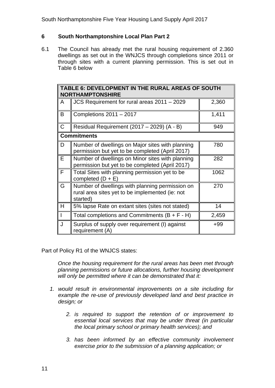#### **6 South Northamptonshire Local Plan Part 2**

6.1 The Council has already met the rural housing requirement of 2.360 dwellings as set out in the WNJCS through completions since 2011 or through sites with a current planning permission. This is set out in Table 6 below

|   | TABLE 6: DEVELOPMENT IN THE RURAL AREAS OF SOUTH<br><b>NORTHAMPTONSHIRE</b>                                    |       |  |  |  |  |  |  |
|---|----------------------------------------------------------------------------------------------------------------|-------|--|--|--|--|--|--|
| A | JCS Requirement for rural areas 2011 - 2029                                                                    | 2,360 |  |  |  |  |  |  |
| B | Completions $2011 - 2017$                                                                                      | 1,411 |  |  |  |  |  |  |
| C | Residual Requirement (2017 - 2029) (A - B)                                                                     | 949   |  |  |  |  |  |  |
|   | <b>Commitments</b>                                                                                             |       |  |  |  |  |  |  |
| D | Number of dwellings on Major sites with planning<br>permission but yet to be completed (April 2017)            | 780   |  |  |  |  |  |  |
| Е | Number of dwellings on Minor sites with planning<br>permission but yet to be completed (April 2017)            | 282   |  |  |  |  |  |  |
| F | Total Sites with planning permission yet to be<br>completed $(D + E)$                                          | 1062  |  |  |  |  |  |  |
| G | Number of dwellings with planning permission on<br>rural area sites yet to be implemented (ie: not<br>started) | 270   |  |  |  |  |  |  |
| Н | 5% lapse Rate on extant sites (sites not stated)                                                               | 14    |  |  |  |  |  |  |
|   | Total completions and Commitments $(B + F - H)$                                                                | 2,459 |  |  |  |  |  |  |
| J | Surplus of supply over requirement (I) against<br>requirement (A)                                              | $+99$ |  |  |  |  |  |  |

Part of Policy R1 of the WNJCS states:

*Once the housing requirement for the rural areas has been met through planning permissions or future allocations, further housing development will only be permitted where it can be demonstrated that it:* 

- *1. would result in environmental improvements on a site including for example the re-use of previously developed land and best practice in design; or* 
	- *2. is required to support the retention of or improvement to essential local services that may be under threat (in particular the local primary school or primary health services); and*
	- *3. has been informed by an effective community involvement exercise prior to the submission of a planning application; or*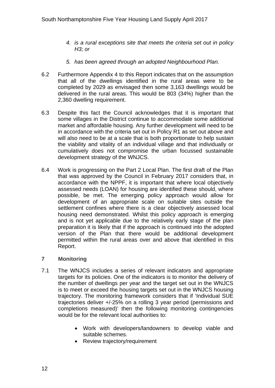- *4. is a rural exceptions site that meets the criteria set out in policy H3; or*
- *5. has been agreed through an adopted Neighbourhood Plan.*
- 6.2 Furthermore Appendix 4 to this Report indicates that on the assumption that all of the dwellings identified in the rural areas were to be completed by 2029 as envisaged then some 3,163 dwellings would be delivered in the rural areas. This would be 803 (34%) higher than the 2,360 dwelling requirement.
- 6.3 Despite this fact the Council acknowledges that it is important that some villages in the District continue to accommodate some additional market and affordable housing. Any further development will need to be in accordance with the criteria set out in Policy R1 as set out above and will also need to be at a scale that is both proportionate to help sustain the viability and vitality of an individual village and that individually or cumulatively does not compromise the urban focussed sustainable development strategy of the WNJCS.
- 6.4 Work is progressing on the Part 2 Local Plan. The first draft of the Plan that was approved by the Council in February 2017 considers that, in accordance with the NPPF, it is important that where local objectively assessed needs (LOAN) for housing are identified these should, where possible, be met. The emerging policy approach would allow for development of an appropriate scale on suitable sites outside the settlement confines where there is a clear objectively assessed local housing need demonstrated. Whilst this policy approach is emerging and is not yet applicable due to the relatively early stage of the plan preparation it is likely that if the approach is continued into the adopted version of the Plan that there would be additional development permitted within the rural areas over and above that identified in this Report.

#### **7 Monitoring**

- 7.1 The WNJCS includes a series of relevant indicators and appropriate targets for its policies. One of the indicators is to monitor the delivery of the number of dwellings per year and the target set out in the WNJCS is to meet or exceed the housing targets set out in the WNJCS housing trajectory. The monitoring framework considers that if 'Individual SUE trajectories deliver +/-25% on a rolling 3 year period (permissions and completions measured)' then the following monitoring contingencies would be for the relevant local authorities to:
	- Work with developers/landowners to develop viable and suitable schemes.
	- Review trajectory/requirement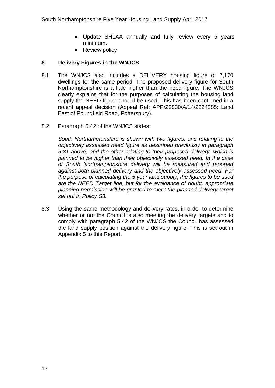- Update SHLAA annually and fully review every 5 years minimum.
- Review policy

#### **8 Delivery Figures in the WNJCS**

- 8.1 The WNJCS also includes a DELIVERY housing figure of 7,170 dwellings for the same period. The proposed delivery figure for South Northamptonshire is a little higher than the need figure. The WNJCS clearly explains that for the purposes of calculating the housing land supply the NEED figure should be used. This has been confirmed in a recent appeal decision (Appeal Ref: APP/Z2830/A/14/2224285: Land East of Poundfield Road, Potterspury).
- 8.2 Paragraph 5.42 of the WNJCS states:

*South Northamptonshire is shown with two figures, one relating to the objectively assessed need figure as described previously in paragraph 5.31 above, and the other relating to their proposed delivery, which is planned to be higher than their objectively assessed need. In the case of South Northamptonshire delivery will be measured and reported against both planned delivery and the objectively assessed need. For the purpose of calculating the 5 year land supply, the figures to be used are the NEED Target line, but for the avoidance of doubt, appropriate planning permission will be granted to meet the planned delivery target set out in Policy S3.* 

8.3 Using the same methodology and delivery rates, in order to determine whether or not the Council is also meeting the delivery targets and to comply with paragraph 5.42 of the WNJCS the Council has assessed the land supply position against the delivery figure. This is set out in Appendix 5 to this Report.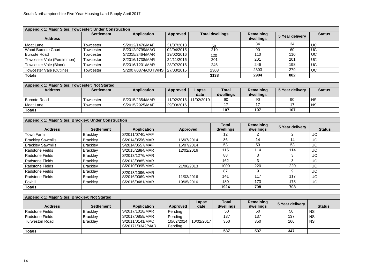| Appendix 1: Major Sites: Towcester: Under Construction |                   |                                 |            |                        |                        |                 |               |  |  |  |  |
|--------------------------------------------------------|-------------------|---------------------------------|------------|------------------------|------------------------|-----------------|---------------|--|--|--|--|
| <b>Address</b>                                         | <b>Settlement</b> | <b>Application</b>              | Approved   | <b>Total dwellings</b> | Remaining<br>dwellings | 5 Year delivery | <b>Status</b> |  |  |  |  |
| Moat Lane                                              | Towcester         | S/2012/1476/MAF                 | 31/07/2013 | .58                    | 34                     | 34              | UC            |  |  |  |  |
| <b>Wood Burcote Court</b>                              | Towcester         | S/2012/0799/MAO                 | 02/04/2015 | 210                    | 90                     | 60              | <b>UC</b>     |  |  |  |  |
| <b>Burcote Road</b>                                    | Towcester         | S/2015/2464/MAR                 | 19/02/2016 | 120                    | 110                    | 110             | UC            |  |  |  |  |
| Towcester Vale (Persimmon)                             | Towcester         | S/2016/1738/MAR                 | 24/11/2016 | 201                    | 201                    | 201             | <b>UC</b>     |  |  |  |  |
| Towcester Vale (Bloor)                                 | Towcester         | S/2016/1201/MAR                 | 28/07/2016 | 246                    | 246                    | 198             | <b>UC</b>     |  |  |  |  |
| Towcester Vale (Outline)                               | Towcester         | S/2007/0374/OUTWNS   27/03/2015 |            | 2303                   | 2303                   | 279             | <b>UC</b>     |  |  |  |  |
| <b>Totals</b>                                          |                   |                                 |            | 3138                   | 2984                   | 882             |               |  |  |  |  |

| Appendix 1: Major Sites: Towcester: Not Started |                   |                    |            |            |              |           |                 |               |  |  |
|-------------------------------------------------|-------------------|--------------------|------------|------------|--------------|-----------|-----------------|---------------|--|--|
| <b>Address</b>                                  | <b>Settlement</b> | <b>Application</b> | Approved   | Lapse      | <b>Total</b> | Remaining | 5 Year delivery | <b>Status</b> |  |  |
|                                                 |                   |                    |            | date       | dwellings    | dwellings |                 |               |  |  |
| <b>Burcote Road</b>                             | Towcester         | S/2015/2354/MAR    | 11/02/2016 | 11/02/2019 | 90           | 90        | 90              | <b>NS</b>     |  |  |
| Moat Lane                                       | Towcester         | S/2015/2925/MAF    | 29/03/2016 |            |              |           |                 | <b>NS</b>     |  |  |
| Totals                                          |                   |                    |            |            | 107          | 107       | 107             |               |  |  |

| Appendix 1: Major Sites: Brackley: Under Construction |                   |                    |            |                           |                        |                 |               |  |  |  |
|-------------------------------------------------------|-------------------|--------------------|------------|---------------------------|------------------------|-----------------|---------------|--|--|--|
| <b>Address</b>                                        | <b>Settlement</b> | <b>Application</b> | Approved   | <b>Total</b><br>dwellings | Remaining<br>dwellings | 5 Year delivery | <b>Status</b> |  |  |  |
| Town Farm                                             | Brackley          | S/2011/0740/MAF    |            | 12 <sup>°</sup>           |                        |                 | <b>UC</b>     |  |  |  |
| <b>Brackley Sawmills</b>                              | <b>Brackley</b>   | S/2014/0556/MAR    | 16/07/2014 | 86                        | 14                     | 14              | <b>UC</b>     |  |  |  |
| <b>Brackley Sawmills</b>                              | <b>Brackley</b>   | S/2014/0557/MAF    | 16/07/2014 | 53                        | 53                     | 53              | <b>UC</b>     |  |  |  |
| <b>Radstone Fields</b>                                | <b>Brackley</b>   | S/2015/2884/MAR    | 12/02/2016 | 115                       | 114                    | 114             | <b>UC</b>     |  |  |  |
| <b>Radstone Fields</b>                                | <b>Brackley</b>   | S/2013/1276/MAR    |            | 88                        | 3                      | 3               | <b>UC</b>     |  |  |  |
| <b>Radstone Fields</b>                                | <b>Brackley</b>   | S/2013/0885/MAR    |            | 162                       | 3                      | 3               | <b>UC</b>     |  |  |  |
| <b>Radstone Fields</b>                                | <b>Brackley</b>   | S/2010/0995/MAO    | 21/06/2013 | 1000                      | 220                    | 220             | <b>UC</b>     |  |  |  |
| <b>Radstone Fields</b>                                | <b>Brackley</b>   | S/2013/1096/MAR    |            | 87                        | 9                      | 9               | <b>UC</b>     |  |  |  |
| <b>Radstone Fields</b>                                | <b>Brackley</b>   | S/2016/0069/MAR    | 11/03/2016 | 141                       | 117                    | 117             | <b>UC</b>     |  |  |  |
| Foxhill                                               | <b>Brackley</b>   | S/2016/0481/MAR    | 19/05/2016 | 180                       | 173                    | 173             | UC.           |  |  |  |
| <b>Totals</b>                                         |                   |                    |            | 1924                      | 708                    | 708             |               |  |  |  |

| Appendix 1: Major Sites: Brackley: Not Started |                   |                                     |                       |               |                           |                        |                 |               |  |  |
|------------------------------------------------|-------------------|-------------------------------------|-----------------------|---------------|---------------------------|------------------------|-----------------|---------------|--|--|
| <b>Address</b>                                 | <b>Settlement</b> | <b>Application</b>                  | Approved              | Lapse<br>date | <b>Total</b><br>dwellings | Remaining<br>dwellings | 5 Year delivery | <b>Status</b> |  |  |
| <b>Radstone Fields</b>                         | <b>Brackley</b>   | S/2017/1018/MAR                     | Pending               |               | 50                        | 50                     | 50              | <b>NS</b>     |  |  |
| <b>Radstone Fields</b>                         | <b>Brackley</b>   | S/2017/0858/MAR                     | Pending               |               | 137                       | 137                    | 137             | <b>NS</b>     |  |  |
| Turweston Road                                 | <b>Brackley</b>   | S/2011/0141/MAO<br>S/20171/0342/MAR | 10/02/2014<br>Pending | 10/02/2017    | 350                       | 350                    | 160             | <b>NS</b>     |  |  |
| <b>Totals</b>                                  |                   |                                     |                       |               | 537                       | 537                    | 347             |               |  |  |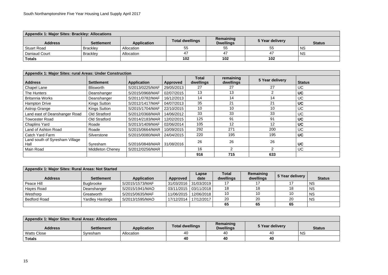| <b>Appendix 1: Major Sites: Brackley: Allocations</b> |                   |                    |                        |                               |                 |               |  |  |  |  |  |
|-------------------------------------------------------|-------------------|--------------------|------------------------|-------------------------------|-----------------|---------------|--|--|--|--|--|
| <b>Address</b>                                        | <b>Settlement</b> | <b>Application</b> | <b>Total dwellings</b> | Remaining<br><b>Dwellings</b> | 5 Year delivery | <b>Status</b> |  |  |  |  |  |
| <b>Stuart Road</b>                                    | <b>Brackley</b>   | Allocation         | 55                     | 55                            | 55              | <b>NS</b>     |  |  |  |  |  |
| Daniaud Court                                         | <b>Brackley</b>   | Allocation         | 47                     | 47                            | 47              | <b>NS</b>     |  |  |  |  |  |
| <b>Totals</b>                                         |                   |                    | 102                    | 102                           | 102             |               |  |  |  |  |  |

| Appendix 1: Major Sites: rural Areas: Under Construction |                         |                    |            |                    |                        |                 |               |  |  |  |
|----------------------------------------------------------|-------------------------|--------------------|------------|--------------------|------------------------|-----------------|---------------|--|--|--|
| <b>Address</b>                                           | <b>Settlement</b>       | <b>Application</b> | Approved   | Total<br>dwellings | remaining<br>dwellings | 5 Year delivery | <b>Status</b> |  |  |  |
| <b>Chapel Lane</b>                                       | <b>Blisworth</b>        | S/2013/0225/MAF    | 29/05/2013 | 27                 | 27                     | 27              | <b>UC</b>     |  |  |  |
| The Hunters                                              | Deanshanger             | S/2015/0968/MAF    | 02/07/2015 | 13                 | 13                     |                 | <b>UC</b>     |  |  |  |
| <b>Britannia Works</b>                                   | Deanshanger             | S/2011/0782/MAF    | 16/12/2013 | 14                 | 14                     | 14              | <b>UC</b>     |  |  |  |
| <b>Hampton Drive</b>                                     | <b>Kings Sutton</b>     | S/2012/1417/MAF    | 04/07/2013 | 35                 | 21                     | 21              | <b>UC</b>     |  |  |  |
| <b>Astrop Grange</b>                                     | <b>Kings Sutton</b>     | S/2015/1704/MAF    | 22/10/2015 | 10                 | 10                     | 10              | <b>UC</b>     |  |  |  |
| Land east of Deanshanger Road                            | <b>Old Stratford</b>    | S/2012/0368/MAR    | 14/06/2012 | 33                 | 33                     | 33              | <b>UC</b>     |  |  |  |
| <b>Towcester Road</b>                                    | <b>Old Stratford</b>    | S/2014/2183/MAR    | 12/02/2015 | 125                | 91                     | 91              | <b>UC</b>     |  |  |  |
| <b>Chaplins Yard</b>                                     | Roade                   | S/2013/1409/MAF    | 02/06/2014 | 105                | 12                     | 12              | <b>UC</b>     |  |  |  |
| Land of Ashton Road                                      | Roade                   | S/2015/0664/MAR    | 10/09/2015 | 292                | 271                    | 200             | <b>UC</b>     |  |  |  |
| Catch Yard Farm                                          | Silverstone             | S/2015/0080/MAR    | 24/04/2015 | 220                | 195                    | 195             | <b>UC</b>     |  |  |  |
| Land south of Syresham Village<br>Hall                   | Syresham                | S/2016/0848/MAR    | 31/08/2016 | 26                 | 26                     | 26              | <b>UC</b>     |  |  |  |
| Main Road                                                | <b>Middleton Cheney</b> | S/2012/0256/MAR    |            | 16                 | $\overline{2}$         |                 | <b>UC</b>     |  |  |  |
|                                                          |                         |                    |            | 916                | 715                    | 633             |               |  |  |  |

| Appendix 1: Major Sites: Rural Areas: Not Started |                         |                    |            |               |                           |                        |                 |               |  |
|---------------------------------------------------|-------------------------|--------------------|------------|---------------|---------------------------|------------------------|-----------------|---------------|--|
| <b>Address</b>                                    | <b>Settlement</b>       | <b>Application</b> | Approved   | Lapse<br>date | <b>Total</b><br>dwellings | Remaining<br>dwellings | 5 Year delivery | <b>Status</b> |  |
| Peace Hill                                        | <b>Bugbrooke</b>        | S/2015/1573/MAF    | 31/03/2016 | 31/03/2019    | 17                        |                        |                 | <b>NS</b>     |  |
| Hayes Road                                        | Deanshanger             | S/2015/1941/MAO    | 03/11/2015 | 03/11/2018    | 18                        | 18                     | 18              | <b>NS</b>     |  |
| Westhorp                                          | Greatworth              | S/2015/0635/MAF    | 11/06/2015 | 12/06/2018    | 10                        | 10                     | 10 <sup>°</sup> | <b>NS</b>     |  |
| <b>Bedford Road</b>                               | <b>Yardley Hastings</b> | S/2013/1595/MAO    | 17/12/2014 | 17/12/2017    | 20                        | 20                     | 20              | <b>NS</b>     |  |
|                                                   |                         |                    |            |               | 65                        | 65                     | 65              |               |  |

| <b>Appendix 1: Major Sites: Rural Areas: Allocations</b> |                   |                    |                        |                               |                 |               |  |  |
|----------------------------------------------------------|-------------------|--------------------|------------------------|-------------------------------|-----------------|---------------|--|--|
| <b>Address</b>                                           | <b>Settlement</b> | <b>Application</b> | <b>Total dwellings</b> | Remaining<br><b>Dwellings</b> | 5 Year delivery | <b>Status</b> |  |  |
| Watts Close                                              | Syresham          | Allocation         | 40                     | 40                            | 40              | <b>NS</b>     |  |  |
| <b>Totals</b>                                            |                   |                    | 40                     | 40                            | 40              |               |  |  |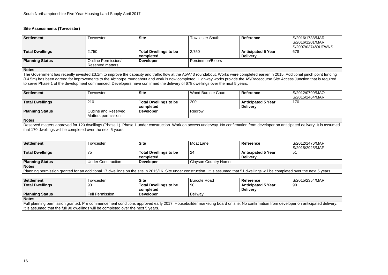#### **Site Assessments (Towcester)**

#### **S/2016/1738/MAR**  S/2016/1201/MAR S/2007/0374/OUTWNS 678

| Settlement                                                                                                                                                                         | <b>Towcester</b>        | <b>Site</b>                               | Towcester South  | <b>Reference</b>                             | S/2016/1738/MAR<br>S/2016/1201/MAR<br>S/2007/0374/OUTWNS |  |  |  |
|------------------------------------------------------------------------------------------------------------------------------------------------------------------------------------|-------------------------|-------------------------------------------|------------------|----------------------------------------------|----------------------------------------------------------|--|--|--|
| <b>Total Dwellings</b>                                                                                                                                                             | 2,750                   | <b>Total Dwellings to be</b><br>completed | 2,750            | <b>Anticipated 5 Year</b><br><b>Delivery</b> | 678                                                      |  |  |  |
| <b>Planning Status</b>                                                                                                                                                             | Outline Permission/     | <b>Developer</b>                          | Persimmon/Bloors |                                              |                                                          |  |  |  |
|                                                                                                                                                                                    | <b>Reserved matters</b> |                                           |                  |                                              |                                                          |  |  |  |
| <b>Notes</b>                                                                                                                                                                       |                         |                                           |                  |                                              |                                                          |  |  |  |
| The Government has recently invested £3.1m to improve the capacity and traffic flow at the A5/A43 roundabout. Works were completed earlier in 2015. Additional pinch point funding |                         |                                           |                  |                                              |                                                          |  |  |  |
| (£4.5m) has been agreed for improvements to the Abthorpe roundabout and work is now completed. Highway works provide the A5/Racecourse Site Access Junction that is required       |                         |                                           |                  |                                              |                                                          |  |  |  |

**Settlement** Towcester **Site** Moat Lane **Reference** S/2012/1476/MAF S/2015/2925/MAF<br>51

l over the next 5 years. .

to serve Phase 1 of the development commenced. Developers have confirmed the delivery of 678 dwellings over the next 5 years.

bated delivery. It is assumed

| <b>Settlement</b>                                                                                                                                                           | <b>Fowcester</b>                                            | <b>Site</b>                  | <b>Wood Burcote Court</b> | Reference                 | S/2012/0799/MAO |  |  |
|-----------------------------------------------------------------------------------------------------------------------------------------------------------------------------|-------------------------------------------------------------|------------------------------|---------------------------|---------------------------|-----------------|--|--|
|                                                                                                                                                                             |                                                             |                              |                           |                           | S/2015/2464/MAR |  |  |
| <b>Total Dwellings</b>                                                                                                                                                      | 210                                                         | <b>Total Dwellings to be</b> | 200                       | <b>Anticipated 5 Year</b> | 170             |  |  |
|                                                                                                                                                                             |                                                             | completed                    |                           | <b>Delivery</b>           |                 |  |  |
| <b>Planning Status</b>                                                                                                                                                      | <b>Outline and Reserved</b>                                 | <b>Developer</b>             | Redrow                    |                           |                 |  |  |
|                                                                                                                                                                             | Matters permission                                          |                              |                           |                           |                 |  |  |
| <b>Notes</b>                                                                                                                                                                |                                                             |                              |                           |                           |                 |  |  |
| Reserved matters approved for 120 dwellings (Phase 1). Phase 1 under construction. Work on access underway. No confirmation from developer on anticipated delivery. It is a |                                                             |                              |                           |                           |                 |  |  |
|                                                                                                                                                                             | that 170 dwellings will be completed over the next 5 years. |                              |                           |                           |                 |  |  |

| <b>Settlement</b>                                                                                                                                             | Towcester                 | <b>Site</b>                  | Moat Lane                    | <b>Reference</b>          |  |  |
|---------------------------------------------------------------------------------------------------------------------------------------------------------------|---------------------------|------------------------------|------------------------------|---------------------------|--|--|
|                                                                                                                                                               |                           |                              |                              |                           |  |  |
| <b>Total Dwellings</b>                                                                                                                                        | 75                        | <b>Total Dwellings to be</b> | 24                           | <b>Anticipated 5 Year</b> |  |  |
|                                                                                                                                                               |                           | completed                    |                              | <b>Delivery</b>           |  |  |
| <b>Planning Status</b>                                                                                                                                        | <b>Under Construction</b> | <b>Developer</b>             | <b>Clayson Country Homes</b> |                           |  |  |
| <b>Notes</b>                                                                                                                                                  |                           |                              |                              |                           |  |  |
| Planning permission granted for an additional 17 dwellings on the site in 2015/16. Site under construction. It is assumed that 51 dwellings will be completed |                           |                              |                              |                           |  |  |

| <b>Settlement</b>                                                                                                                                                         | ⊺owcester              | <b>Site</b>                  | <b>Burcote Road</b> | <b>Reference</b>          | S/2015/2354/MAR |
|---------------------------------------------------------------------------------------------------------------------------------------------------------------------------|------------------------|------------------------------|---------------------|---------------------------|-----------------|
| <b>Total Dwellings</b>                                                                                                                                                    | 90                     | <b>Total Dwellings to be</b> | -90                 | <b>Anticipated 5 Year</b> | 90              |
|                                                                                                                                                                           |                        | completed                    |                     | <b>Delivery</b>           |                 |
| <b>Planning Status</b>                                                                                                                                                    | <b>Full Permission</b> | <b>Developer</b>             | Bellway             |                           |                 |
| <b>Notes</b>                                                                                                                                                              |                        |                              |                     |                           |                 |
| Full planning permission granted. Pre commencement conditions approved early 2017. Housebuilder marketing board on site. No confirmation from developer on anticipated de |                        |                              |                     |                           |                 |

It is assumed that the full 90 dwellings will be completed over the next 5 years.

er on anticipated delivery.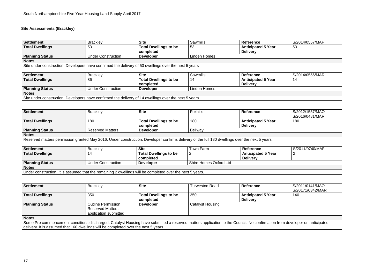## **Site Assessments (Brackley)**

# 53

| Settlement                                                                                            | <b>Brackley</b>           | <b>Site</b>                  | Sawmills     | <b>Reference</b>          | S/2014/0557/MAF |  |
|-------------------------------------------------------------------------------------------------------|---------------------------|------------------------------|--------------|---------------------------|-----------------|--|
| Total Dwellings                                                                                       | 53                        | <b>Total Dwellings to be</b> | 53           | <b>Anticipated 5 Year</b> | 53              |  |
|                                                                                                       |                           | completed                    |              | <b>Delivery</b>           |                 |  |
| <b>Planning Status</b>                                                                                | <b>Under Construction</b> | <b>Developer</b>             | Linden Homes |                           |                 |  |
| <b>Notes</b>                                                                                          |                           |                              |              |                           |                 |  |
| Site under construction. Developers have confirmed the delivery of 53 dwellings over the next 5 years |                           |                              |              |                           |                 |  |

| Settlement                                                                                            | <b>Brackley</b>           | <b>Site</b>                  | Sawmills     | Reference                 | S/2014/0556/MAR |  |  |
|-------------------------------------------------------------------------------------------------------|---------------------------|------------------------------|--------------|---------------------------|-----------------|--|--|
| <b>Total Dwellings</b>                                                                                | 86                        | <b>Total Dwellings to be</b> | 14           | <b>Anticipated 5 Year</b> | 14              |  |  |
|                                                                                                       |                           | completed                    |              | <b>Delivery</b>           |                 |  |  |
| <b>Planning Status</b>                                                                                | <b>Under Construction</b> | <b>Developer</b>             | Linden Homes |                           |                 |  |  |
| <b>Notes</b>                                                                                          |                           |                              |              |                           |                 |  |  |
| Site under construction. Developers have confirmed the delivery of 14 dwellings over the next 5 years |                           |                              |              |                           |                 |  |  |

 $S/2011/0740/MAF$ 2

**Settlement** Brackley **Site** Foxhills **Reference** S/2012/1557/MAO S/2016/0481/MAR 180

| Settlement                                                                                                                                     | <b>Brackley</b>         | <b>Site</b>                  | <b>Foxhills</b> | <b>Reference</b>          |  |  |
|------------------------------------------------------------------------------------------------------------------------------------------------|-------------------------|------------------------------|-----------------|---------------------------|--|--|
|                                                                                                                                                |                         |                              |                 |                           |  |  |
| <b>Total Dwellings</b>                                                                                                                         | 180                     | <b>Total Dwellings to be</b> | 180             | <b>Anticipated 5 Year</b> |  |  |
|                                                                                                                                                |                         | completed                    |                 | <b>Delivery</b>           |  |  |
| <b>Planning Status</b>                                                                                                                         | <b>Reserved Matters</b> | <b>Developer</b>             | <b>Bellway</b>  |                           |  |  |
| <b>Notes</b>                                                                                                                                   |                         |                              |                 |                           |  |  |
| Reserved matters permission granted May 2016. Under construction. Developer confirms delivery of the full 180 dwellings over the next 5 years. |                         |                              |                 |                           |  |  |

| Settlement             | <b>Brackley</b>                                                                                           | <b>Site</b>                  | Town Farm              | <b>Reference</b>          |  |  |  |
|------------------------|-----------------------------------------------------------------------------------------------------------|------------------------------|------------------------|---------------------------|--|--|--|
| <b>Total Dwellings</b> | 14                                                                                                        | <b>Total Dwellings to be</b> | _                      | <b>Anticipated 5 Year</b> |  |  |  |
|                        |                                                                                                           | completed                    |                        | <b>Delivery</b>           |  |  |  |
| <b>Planning Status</b> | <b>Under Construction</b>                                                                                 | <b>Developer</b>             | Shire Homes Oxford Ltd |                           |  |  |  |
| <b>Notes</b>           |                                                                                                           |                              |                        |                           |  |  |  |
|                        | Under construction. It is assumed that the remaining 2 dwellings will be completed over the next 5 years. |                              |                        |                           |  |  |  |

| <b>Settlement</b>                                                                                                                                                         | <b>Brackley</b>           | <b>Site</b>                  | <b>Turweston Road</b>   | <b>Reference</b>          | S/2011/0141/MAO  |  |  |
|---------------------------------------------------------------------------------------------------------------------------------------------------------------------------|---------------------------|------------------------------|-------------------------|---------------------------|------------------|--|--|
|                                                                                                                                                                           |                           |                              |                         |                           | S/20171/0342/MAR |  |  |
| <b>Total Dwellings</b>                                                                                                                                                    | 350                       | <b>Total Dwellings to be</b> | 350                     | <b>Anticipated 5 Year</b> | 140              |  |  |
|                                                                                                                                                                           |                           | completed                    |                         | <b>Delivery</b>           |                  |  |  |
| <b>Planning Status</b>                                                                                                                                                    | <b>Outline Permission</b> | <b>Developer</b>             | <b>Catalyst Housing</b> |                           |                  |  |  |
|                                                                                                                                                                           | <b>Reserved Matters</b>   |                              |                         |                           |                  |  |  |
|                                                                                                                                                                           | application submitted     |                              |                         |                           |                  |  |  |
| <b>Notes</b>                                                                                                                                                              |                           |                              |                         |                           |                  |  |  |
| Some Pre commencement conditions discharged. Catalyst Housing have submitted a reserved matters application to the Council. No confirmation from developer on anticipated |                           |                              |                         |                           |                  |  |  |

delivery. It is assumed that 160 dwellings will be completed over the next 5 years.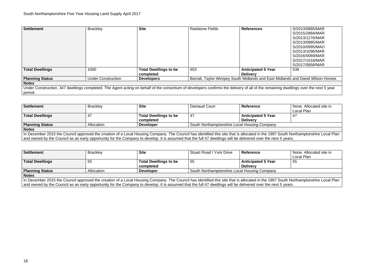S/2015/2884/MAR S/2013/1276/MAR S/2013/0885/MAR S/2010/0995/MAO S/2013/1096/MAR S/2016/0069/MAR S/2017/1018/MAR S/2017/0858/MAR 536

**And David Wilson Homes Barratter** 

lings over the next 5 year

| <b>Settlement</b>                                                                                                                                                               | <b>Brackley</b>           | <b>Site</b>                  | <b>Radstone Fields</b> | <b>References</b>                                                          | S/2013/0885/MAR |
|---------------------------------------------------------------------------------------------------------------------------------------------------------------------------------|---------------------------|------------------------------|------------------------|----------------------------------------------------------------------------|-----------------|
|                                                                                                                                                                                 |                           |                              |                        |                                                                            | S/2015/2884/MAR |
|                                                                                                                                                                                 |                           |                              |                        |                                                                            | S/2013/1276/MAR |
|                                                                                                                                                                                 |                           |                              |                        |                                                                            | S/2013/0885/MAR |
|                                                                                                                                                                                 |                           |                              |                        |                                                                            | S/2010/0995/MAO |
|                                                                                                                                                                                 |                           |                              |                        |                                                                            | S/2013/1096/MAR |
|                                                                                                                                                                                 |                           |                              |                        |                                                                            | S/2016/0069/MAR |
|                                                                                                                                                                                 |                           |                              |                        |                                                                            | S/2017/1018/MAR |
|                                                                                                                                                                                 |                           |                              |                        |                                                                            | S/2017/0858/MAR |
| <b>Total Dwellings</b>                                                                                                                                                          | 1000                      | <b>Total Dwellings to be</b> | 653                    | <b>Anticipated 5 Year</b>                                                  | 536             |
|                                                                                                                                                                                 |                           | completed                    |                        | <b>Delivery</b>                                                            |                 |
| <b>Planning Status</b>                                                                                                                                                          | <b>Under Construction</b> | <b>Developers</b>            |                        | Barratt, Taylor Wimpey South Midlands and East Midlands and David Wilson F |                 |
| <b>Notes</b>                                                                                                                                                                    |                           |                              |                        |                                                                            |                 |
| Under Construction. 347 dwellings completed. The Agent acting on behalf of the consortium of developers confirms the delivery of all of the remaining dwellings over the next 5 |                           |                              |                        |                                                                            |                 |
| period.                                                                                                                                                                         |                           |                              |                        |                                                                            |                 |

**Settlement** Brackley **Site** *in*  $\overline{a}$ Local Plan 47

**None. Allocated site in** Local Plan 55

| <b>Settlement</b>      | <b>Brackley</b> | <b>Site</b>                  | Daniaud Court                                | <b>Reference</b>          |  |
|------------------------|-----------------|------------------------------|----------------------------------------------|---------------------------|--|
|                        |                 |                              |                                              |                           |  |
| <b>Total Dwellings</b> | 4 <sub>1</sub>  | <b>Total Dwellings to be</b> | -47                                          | <b>Anticipated 5 Year</b> |  |
|                        |                 | completed                    |                                              | <b>Delivery</b>           |  |
| <b>Planning Status</b> | Allocation      | <b>Developer</b>             | South Northamptonshire Local Housing Company |                           |  |
| <b>Notes</b>           |                 |                              |                                              |                           |  |

In December 2015 the Council approved the creation of a Local Housing Company. The Council has identified this site that is allocated in the 1997 South Northamptonshire Local Plan and owned by the Council as an early opportunity for the Company to develop. It is assumed that the full 47 dwellings will be delivered over the next 5 years.

| <b>Settlement</b>      | <b>Brackley</b> | <b>Site</b>                               | <b>Stuart Road / York Drive</b>              | <b>Reference</b>                             |  |
|------------------------|-----------------|-------------------------------------------|----------------------------------------------|----------------------------------------------|--|
| <b>Total Dwellings</b> | 55              | <b>Total Dwellings to be</b><br>completed | 55                                           | <b>Anticipated 5 Year</b><br><b>Delivery</b> |  |
| <b>Planning Status</b> | Allocation      | <b>Developer</b>                          | South Northamptonshire Local Housing Company |                                              |  |
| <b>Notes</b>           |                 |                                           |                                              |                                              |  |

In December 2015 the Council approved the creation of a Local Housing Company. The Council has identified this site that is allocated in the 1997 South Northamptonshire Local Plan and owned by the Council as an early opportunity for the Company to develop. It is assumed that the full 47 dwellings will be delivered over the next 5 years.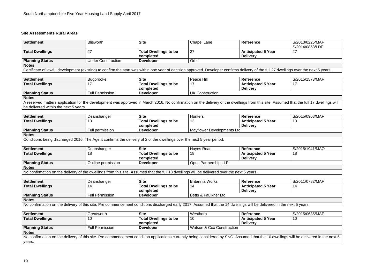#### **Site Assessments Rural Areas**

# S/2014/0858/LDE 27

| <b>Settlement</b>                                                                                                                                                                       | <b>Blisworth</b>          | <b>Site</b>                  | Chapel Lane | <b>Reference</b>          | S/2013/0225/MAF |  |
|-----------------------------------------------------------------------------------------------------------------------------------------------------------------------------------------|---------------------------|------------------------------|-------------|---------------------------|-----------------|--|
|                                                                                                                                                                                         |                           |                              |             |                           | S/2014/0858/LDE |  |
| <b>Total Dwellings</b>                                                                                                                                                                  | 27                        | <b>Total Dwellings to be</b> | 27          | <b>Anticipated 5 Year</b> | $\overline{27}$ |  |
|                                                                                                                                                                                         |                           | completed                    |             | <b>Delivery</b>           |                 |  |
| <b>Planning Status</b>                                                                                                                                                                  | <b>Under Construction</b> | <b>Developer</b>             | Orbit       |                           |                 |  |
| <b>Notes</b>                                                                                                                                                                            |                           |                              |             |                           |                 |  |
| Certificate of lawful development (existing) to confirm the start was within one year of decision approved. Developer confirms delivery of the full 27 dwellings over the next 5 years. |                           |                              |             |                           |                 |  |

**Settlement** Bugbrooke **Site** Peace Hill **Reference** S/2015/1573/MAF 17

| Settlement             | <b>Bugbrooke</b>       | <b>Site</b>                  | Peace Hill      | <b>Reference</b>          |  |
|------------------------|------------------------|------------------------------|-----------------|---------------------------|--|
| <b>Total Dwellings</b> |                        | <b>Total Dwellings to be</b> |                 | <b>Anticipated 5 Year</b> |  |
|                        |                        | completed                    |                 | <b>Delivery</b>           |  |
| <b>Planning Status</b> | <b>Full Permission</b> | <b>Developer</b>             | UK Construction |                           |  |
| <b>Notes</b>           |                        |                              |                 |                           |  |

A reserved matters application for the development was approved in March 2016. No confirmation on the delivery of the dwellings from this site. Assumed that the full 17 dwellings will be delivered within the next 5 years.

| Settlement             | Deanshanger          | <b>Site</b>                                                                                                                | <b>Hunters</b>             | <b>Reference</b>          | S/2015/0968/MAF |  |
|------------------------|----------------------|----------------------------------------------------------------------------------------------------------------------------|----------------------------|---------------------------|-----------------|--|
| Total Dwellings        | $\overline{ }$<br>∪י | <b>Total Dwellings to be</b>                                                                                               | ں ו                        | <b>Anticipated 5 Year</b> | ט ו             |  |
|                        |                      | completed                                                                                                                  |                            | <b>Delivery</b>           |                 |  |
| <b>Planning Status</b> | Full permission      | <b>Developer</b>                                                                                                           | Mayflower Developments Ltd |                           |                 |  |
| <b>Notes</b>           |                      |                                                                                                                            |                            |                           |                 |  |
|                        |                      | $\sim$ Conditions being discharged 2016. The Agent confirms the delivery of 2 of the dwellings over the next E vear period |                            |                           |                 |  |

Conditions being discharged 2016. The Agent confirms the delivery of 2 of the dwellings over the next 5 year period.

**Settlement** Deanshanger **Site** Hayes Road **Reference** S/2015/1941/MAO 18

| Settlement                                                                                                                                   | Deanshanger        | <b>Site</b>                  | Haves Road           | Reference                 |  |  |  |
|----------------------------------------------------------------------------------------------------------------------------------------------|--------------------|------------------------------|----------------------|---------------------------|--|--|--|
| <b>Total Dwellings</b>                                                                                                                       |                    | <b>Total Dwellings to be</b> | 18                   | <b>Anticipated 5 Year</b> |  |  |  |
|                                                                                                                                              |                    | completed                    |                      | <b>Delivery</b>           |  |  |  |
| Planning Status                                                                                                                              | Outline permission | <b>Developer</b>             | Opus Partnership LLP |                           |  |  |  |
| <b>Notes</b>                                                                                                                                 |                    |                              |                      |                           |  |  |  |
| No confirmation on the delivery of the dwellings from this site. Assumed that the full 13 dwellings will be delivered over the next 5 years. |                    |                              |                      |                           |  |  |  |

No confirmation on the delivery of the dwellings from this site. Assumed that the full 13 dwellings will be delivered over the next 5 years.

14

| Settlement             | Deanshanger                                                                                                                                                           | <b>Site</b>                  | Britannia Works        | <b>Reference</b>   | S/2011/0782/MAF |  |  |
|------------------------|-----------------------------------------------------------------------------------------------------------------------------------------------------------------------|------------------------------|------------------------|--------------------|-----------------|--|--|
| <b>Total Dwellings</b> | 14                                                                                                                                                                    | <b>Total Dwellings to be</b> | 14                     | Anticipated 5 Year | 14              |  |  |
|                        |                                                                                                                                                                       | completed                    |                        | <b>Delivery</b>    |                 |  |  |
| <b>Planning Status</b> | <b>Full Permission</b>                                                                                                                                                | <b>Developer</b>             | I Betts & Faulkner Ltd |                    |                 |  |  |
| <b>Notes</b>           |                                                                                                                                                                       |                              |                        |                    |                 |  |  |
|                        | No confirmation on the delivery of this site. Pre commencement conditions discharged early 2017. Assumed that the 14 dwellings will be delivered in the next 5 years. |                              |                        |                    |                 |  |  |

be delivered in the next 5

| <b>Settlement</b>                                                                                                                                                               | Greatworth             | <b>Site</b>                  | Westhorp                             | <b>Reference</b>          | S/2015/0635/MAF |
|---------------------------------------------------------------------------------------------------------------------------------------------------------------------------------|------------------------|------------------------------|--------------------------------------|---------------------------|-----------------|
| <b>Total Dwellings</b>                                                                                                                                                          | 10                     | <b>Total Dwellings to be</b> | 10                                   | <b>Anticipated 5 Year</b> | 10              |
|                                                                                                                                                                                 |                        | completed                    |                                      | <b>Delivery</b>           |                 |
| <b>Planning Status</b>                                                                                                                                                          | <b>Full Permission</b> | <b>Developer</b>             | <b>Watson &amp; Cox Construction</b> |                           |                 |
| <b>Notes</b>                                                                                                                                                                    |                        |                              |                                      |                           |                 |
| No confirmation on the delivery of this site. Pre commencement condition applications currently being considered by SNC. Assumed that the 10 dwellings will be delivered in the |                        |                              |                                      |                           |                 |
| years.                                                                                                                                                                          |                        |                              |                                      |                           |                 |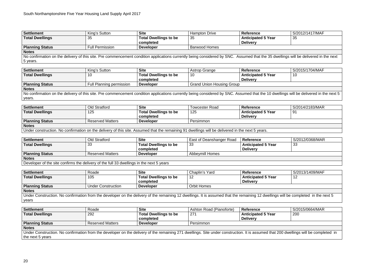| Settlement             | King's Sutton   | <b>Site</b>                  | <b>Hampton Drive</b> | Reference                 | S/2012/1417/MAF |
|------------------------|-----------------|------------------------------|----------------------|---------------------------|-----------------|
| <b>Total Dwellings</b> | วเ<br><u>vu</u> | <b>Total Dwellings to be</b> | 35                   | <b>Anticipated 5 Year</b> | つに<br>ັບປ       |
|                        |                 | completed                    |                      | <b>Delivery</b>           |                 |
| <b>Planning Status</b> | Full Permission | <b>Developer</b>             | Barwood Homes        |                           |                 |

No confirmation on the delivery of this site. Pre commencement condition applications currently being considered by SNC. Assumed that the 35 dwellings will be delivered in the next 5 years.

**Notes** 

No confirmation on the delivery of this site. Pre commencement condition applications currently being considered by SNC. Assumed that the 10 dwellings will be delivered in the next 5 years.

**Settlement** King's Sutton **Site** Astrop Grange **Reference** S/2015/1704/MAF 10

| Settlement             | King's Sutton            | <b>Site</b>                               | Astrop Grange                    | <b>Reference</b>                             |
|------------------------|--------------------------|-------------------------------------------|----------------------------------|----------------------------------------------|
| <b>Total Dwellings</b> |                          | <b>Total Dwellings to be</b><br>completed | 10                               | <b>Anticipated 5 Year</b><br><b>Delivery</b> |
| <b>Planning Status</b> | Full Planning permission | <b>Developer</b>                          | <b>Grand Union Housing Group</b> |                                              |

**Notes** 

**S/2012/0368/MAR** 33

| Settlement             | <b>Old Stratford</b>    | <b>Site</b>                  | Towcester Road | <b>Reference</b>          | S/2014/2183/MAR |
|------------------------|-------------------------|------------------------------|----------------|---------------------------|-----------------|
| <b>Total Dwellings</b> | 125                     | <b>Total Dwellings to be</b> | 125            | <b>Anticipated 5 Year</b> |                 |
|                        |                         | completed                    |                | <b>Delivery</b>           |                 |
| <b>Planning Status</b> | <b>Reserved Matters</b> | <b>Developer</b>             | Persimmon      |                           |                 |
| <b>Notes</b>           |                         |                              |                |                           |                 |

91

Under construction. No confirmation on the delivery of this site. Assumed that the remaining 91 dwellings will be delivered in the next 5 years.

| <b>Settlement</b>                                                                        | Old Stratford           | <b>Site</b>                  | East of Deanshanger Road | Reference                 |  |  |  |
|------------------------------------------------------------------------------------------|-------------------------|------------------------------|--------------------------|---------------------------|--|--|--|
| <b>Total Dwellings</b>                                                                   | 33                      | <b>Total Dwellings to be</b> | 33                       | <b>Anticipated 5 Year</b> |  |  |  |
|                                                                                          |                         | completed                    |                          | <b>Delivery</b>           |  |  |  |
| <b>Planning Status</b>                                                                   | <b>Reserved Matters</b> | <b>Developer</b>             | <b>Abbeymill Homes</b>   |                           |  |  |  |
| <b>Notes</b>                                                                             |                         |                              |                          |                           |  |  |  |
| Developer of the site confirms the delivery of the full 33 dwellings in the next 5 years |                         |                              |                          |                           |  |  |  |

**Settlement** Roade **Site** Chaplin's Yard **Reference** S/2013/1409/MAF 12

completed in the next 5

| <b>Settlement</b>                                                                                                                                              | Roade                     | <b>Site</b>                  | Chaplin's Yard     | <b>Reference</b>          |
|----------------------------------------------------------------------------------------------------------------------------------------------------------------|---------------------------|------------------------------|--------------------|---------------------------|
| <b>Total Dwellings</b>                                                                                                                                         | 105                       | <b>Total Dwellings to be</b> |                    | <b>Anticipated 5 Year</b> |
|                                                                                                                                                                |                           | completed                    |                    | <b>Delivery</b>           |
| <b>Planning Status</b>                                                                                                                                         | <b>Under Construction</b> | <b>Developer</b>             | <b>Orbit Homes</b> |                           |
| <b>Notes</b>                                                                                                                                                   |                           |                              |                    |                           |
| Under Construction. No confirmation from the developer on the delivery of the remaining 12 dwellings. It is assumed that the remaining 12 dwellings will be or |                           |                              |                    |                           |
| years                                                                                                                                                          |                           |                              |                    |                           |

| <b>Settlement</b>                                                                                                                                                               | Roade                   | <b>Site</b>                  | Ashton Road (Pianoforte) | <b>Reference</b>          | S/2015/0664/MAR |
|---------------------------------------------------------------------------------------------------------------------------------------------------------------------------------|-------------------------|------------------------------|--------------------------|---------------------------|-----------------|
| <b>Total Dwellings</b>                                                                                                                                                          | 292                     | <b>Total Dwellings to be</b> | 271                      | <b>Anticipated 5 Year</b> | 200             |
|                                                                                                                                                                                 |                         | completed                    |                          | <b>Delivery</b>           |                 |
| <b>Planning Status</b>                                                                                                                                                          | <b>Reserved Matters</b> | <b>Developer</b>             | Persimmon                |                           |                 |
| <b>Notes</b>                                                                                                                                                                    |                         |                              |                          |                           |                 |
| Under Construction. No confirmation from the developer on the delivery of the remaining 271 dwellings. Site under construction. It is assumed that 200 dwellings will be comple |                         |                              |                          |                           |                 |

lings will be completed in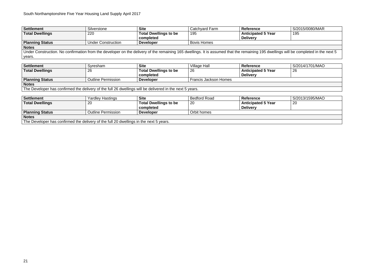### **S/2015/0080/MAR** 195

| <b>Settlement</b>      | Silverstone               | <b>Site</b>                  | Catchyard Farm     | <b>Reference</b>          |  |
|------------------------|---------------------------|------------------------------|--------------------|---------------------------|--|
| <b>Total Dwellings</b> | 220                       | <b>Total Dwellings to be</b> | 195                | <b>Anticipated 5 Year</b> |  |
|                        |                           | completed                    |                    | <b>Delivery</b>           |  |
| <b>Planning Status</b> | <b>Under Construction</b> | <b>Developer</b>             | <b>Bovis Homes</b> |                           |  |
| <b>Notes</b>           |                           |                              |                    |                           |  |

Under Construction. No confirmation from the developer on the delivery of the remaining 165 dwellings. It is assumed that the remaining 195 dwellings will be completed in the next 5 years.

| Settlement                                                                                               | Syresham                  | <b>Site</b>                  | Village Hall          | <b>Reference</b>          | S/2014/1701/MAO |  |  |  |
|----------------------------------------------------------------------------------------------------------|---------------------------|------------------------------|-----------------------|---------------------------|-----------------|--|--|--|
| Total Dwellings                                                                                          | 26                        | <b>Total Dwellings to be</b> | 26                    | <b>Anticipated 5 Year</b> | 26              |  |  |  |
|                                                                                                          |                           | completed                    |                       | <b>Delivery</b>           |                 |  |  |  |
| <b>Planning Status</b>                                                                                   | <b>Outline Permission</b> | <b>Developer</b>             | Francis Jackson Homes |                           |                 |  |  |  |
| <b>Notes</b>                                                                                             |                           |                              |                       |                           |                 |  |  |  |
| The Developer has confirmed the delivery of the full 26 dwellings will be delivered in the next 5 years. |                           |                              |                       |                           |                 |  |  |  |

**Settlement** Yardley Hastings **Site** Bedford Road **Reference** S/2013/1595/MAO 20

| <b>Settlement</b>                                                                      | Yardley Hastings          | <b>Site</b>                  | <b>Bedford Road</b> | <b>Reference</b>          |  |  |  |  |
|----------------------------------------------------------------------------------------|---------------------------|------------------------------|---------------------|---------------------------|--|--|--|--|
| <b>Total Dwellings</b>                                                                 | 20                        | <b>Total Dwellings to be</b> | <b>20</b>           | <b>Anticipated 5 Year</b> |  |  |  |  |
|                                                                                        |                           | completed                    |                     | <b>Delivery</b>           |  |  |  |  |
| <b>Planning Status</b>                                                                 | <b>Outline Permission</b> | <b>Developer</b>             | Orbit homes         |                           |  |  |  |  |
| <b>Notes</b>                                                                           |                           |                              |                     |                           |  |  |  |  |
| The Developer has confirmed the delivery of the full 20 dwellings in the next 5 years. |                           |                              |                     |                           |  |  |  |  |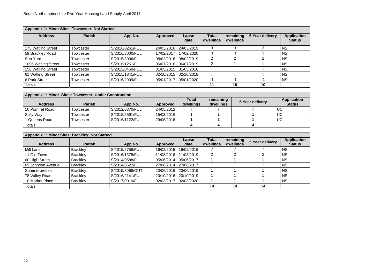| Appendix 1: Minor Sites: Towcester: Not Started |               |                 |                 |               |                           |                        |                 |                                     |  |  |
|-------------------------------------------------|---------------|-----------------|-----------------|---------------|---------------------------|------------------------|-----------------|-------------------------------------|--|--|
| <b>Address</b>                                  | <b>Parish</b> | App No.         | <b>Approved</b> | Lapse<br>date | <b>Total</b><br>dwellings | remaining<br>dwellings | 5 Year delivery | <b>Application</b><br><b>Status</b> |  |  |
| 173 Watling Street                              | Towcester     | S/2016/0261/FUL | 24/03/2016      | 24/03/2019    |                           |                        |                 | <b>NS</b>                           |  |  |
| 59 Brackley Road                                | Towcester     | S/2016/3000/FUL | 17/02/2017      | 17/02/2020    | 3                         | 3                      | 3               | <b>NS</b>                           |  |  |
| Sun Yard                                        | Towcester     | S/2015/3006/FUL | 08/02/2016      | 08/02/2019    | $\overline{2}$            | ⌒                      |                 | <b>NS</b>                           |  |  |
| 109b Watling Street                             | Towcester     | S/2016/1251/FUL | 06/07/2016      | 06/07/2019    | 2                         |                        |                 | <b>NS</b>                           |  |  |
| 156 Watling Street                              | Towcester     | S/2015/0450/FUL | 01/05/2015      | 01/05/2018    |                           |                        |                 | <b>NS</b>                           |  |  |
| 61 Watling Street                               | Towcester     | S/2015/1841/FUL | 02/10/2015      | 02/10/2018    |                           |                        |                 | <b>NS</b>                           |  |  |
| 6 Park Street                                   | Towcester     | S/2016/2909/FUL | 05/01/2017      | 05/01/2020    | -1                        | $-1$                   | -1              | <b>NS</b>                           |  |  |
| Totals                                          |               |                 |                 |               | 11                        | 10                     | 10              |                                     |  |  |

| <b>Appendix 1: Minor Sites: Towcester: Under Construction</b> |               |                 |            |                           |                        |                 |                                     |  |  |
|---------------------------------------------------------------|---------------|-----------------|------------|---------------------------|------------------------|-----------------|-------------------------------------|--|--|
| <b>Address</b>                                                | <b>Parish</b> | App No.         | Approved   | <b>Total</b><br>dwellings | remaining<br>dwellings | 5 Year delivery | <b>Application</b><br><b>Status</b> |  |  |
| 10 Pomfret Road                                               | Towcester     | S/2012/0370/FUL | 24/05/2012 |                           |                        |                 | <b>UC</b>                           |  |  |
| Solly Way                                                     | Towcester     | S/2015/2591/FUL | 15/03/2016 |                           |                        |                 | UC                                  |  |  |
| 1 Queens Road                                                 | Towcester     | S/2016/1122/FUL | 29/06/2016 |                           |                        |                 | UC                                  |  |  |
| Totals                                                        |               |                 |            |                           |                        |                 |                                     |  |  |
|                                                               |               |                 |            |                           |                        |                 |                                     |  |  |

| Appendix 1: Minor Sites: Brackley: Not Started |                 |                 |            |               |                           |                        |                 |                                     |  |
|------------------------------------------------|-----------------|-----------------|------------|---------------|---------------------------|------------------------|-----------------|-------------------------------------|--|
| <b>Address</b>                                 | <b>Parish</b>   | App No.         | Approved   | Lapse<br>date | <b>Total</b><br>dwellings | remaining<br>dwellings | 5 Year delivery | <b>Application</b><br><b>Status</b> |  |
| Mill Lane                                      | <b>Brackley</b> | S/2015/2758/FUL | 16/02/2015 | 16/02/2019    |                           |                        |                 | <b>NS</b>                           |  |
| 11 Old Town                                    | <b>Brackley</b> | S/2016/1375/FUL | 11/08/2016 | 11/08/2019    |                           |                        |                 | <b>NS</b>                           |  |
| 60 High Street                                 | <b>Brackley</b> | S/2014/0588/FUL | 05/06/2014 | 05/06/2017    |                           |                        |                 | <b>NS</b>                           |  |
| 69 Johnson Avenue                              | <b>Brackley</b> | S/2014/0622/FUL | 27/06/2014 | 27/06/2017    |                           |                        |                 | <b>NS</b>                           |  |
| Summerbreeze                                   | <b>Brackley</b> | S/2015/3068/OUT | 23/06/2016 | 23/06/2019    |                           |                        |                 | <b>NS</b>                           |  |
| 78 Valley Road                                 | <b>Brackley</b> | S/2016/2141/FUL | 20/10/2016 | 20/10/2019    |                           |                        |                 | <b>NS</b>                           |  |
| 10 Market Place                                | <b>Brackley</b> | S/2017/0019/FUL | 02/03/2017 | 02/03/2020    |                           |                        |                 | <b>NS</b>                           |  |
| Totals                                         |                 |                 |            |               | 14                        | 14                     | 14              |                                     |  |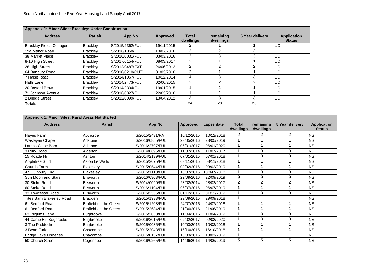| Appendix 1: Minor Sites: Brackley: Under Construction |                 |                 |            |                           |                        |                 |                                     |  |  |
|-------------------------------------------------------|-----------------|-----------------|------------|---------------------------|------------------------|-----------------|-------------------------------------|--|--|
| <b>Address</b>                                        | <b>Parish</b>   | App No.         | Approved   | <b>Total</b><br>dwellings | remaining<br>dwellings | 5 Year delivery | <b>Application</b><br><b>Status</b> |  |  |
| <b>Brackley Fields Cottages</b>                       | <b>Brackley</b> | S/2015/2362/FUL | 19/11/2015 |                           |                        |                 | UC                                  |  |  |
| 19a Manor Road                                        | <b>Brackley</b> | S/2016/1058/FUL | 13/07/2016 | 2                         |                        | 2               | UC                                  |  |  |
| 38 Market Place                                       | <b>Brackley</b> | S/2016/0031/FUL | 03/03/2016 | 3                         |                        |                 | UC                                  |  |  |
| 8-10 High Street                                      | <b>Brackley</b> | S/2017/0154/FUL | 08/03/2017 | 2                         |                        |                 | <b>UC</b>                           |  |  |
| 26 High Street                                        | <b>Brackley</b> | S/2012/0487/EXT | 26/06/2012 | $\mathcal{P}$             | ⌒                      | 2               | <b>UC</b>                           |  |  |
| 64 Banbury Road                                       | <b>Brackley</b> | S/2016/0210/OUT | 31/03/2016 | $\mathcal{P}$             |                        |                 | <b>UC</b>                           |  |  |
| 7 Halse Road                                          | <b>Brackley</b> | S/2014/1067/FUL | 10/12/2014 | 4                         | ⌒                      | 3               | <b>UC</b>                           |  |  |
| Halls Lane                                            | <b>Brackley</b> | S/2014/2473/FUL | 02/06/2015 | $\overline{2}$            |                        | 2               | <b>UC</b>                           |  |  |
| 20 Bayard Brow                                        | <b>Brackley</b> | S/2014/2334/FUL | 19/01/2015 |                           |                        |                 | UC                                  |  |  |
| 71 Johnson Avenue                                     | <b>Brackley</b> | S/2016/0327/FUL | 22/03/2016 |                           |                        |                 | UC                                  |  |  |
| 2 Bridge Street                                       | <b>Brackley</b> | S/2012/0099/FUL | 13/04/2012 | 3                         |                        | 3               | UC.                                 |  |  |
| <b>Totals</b>                                         |                 |                 |            | 24                        | 20                     | 20              |                                     |  |  |

|                              | Appendix 1: Minor Sites: Rural Areas Not Started |                 |                 |             |                           |                        |                 |                                     |  |  |
|------------------------------|--------------------------------------------------|-----------------|-----------------|-------------|---------------------------|------------------------|-----------------|-------------------------------------|--|--|
| <b>Address</b>               | <b>Parish</b>                                    | App No.         | <b>Approved</b> | Lapse date  | <b>Total</b><br>dwellings | remaining<br>dwellings | 5 Year delivery | <b>Application</b><br><b>Status</b> |  |  |
| Hayes Farm                   | Abthorpe                                         | S/2015/2431/PA  | 10/12/2015      | 10/12/2018  | 2                         | $\overline{2}$         | 2               | <b>NS</b>                           |  |  |
| Wesleyan Chapel              | Adstone                                          | S/2016/0855/FUL | 23/05/2016      | 23/05/2019  |                           |                        |                 | <b>NS</b>                           |  |  |
| Lambs Close Barn             | Adstone                                          | S/2016/2797/FUL | 06/01/2017      | 06/01/2020  |                           |                        |                 | <b>NS</b>                           |  |  |
| 3 Pury Road                  | Alderton                                         | S/2014/0695/FUL | 11/07/2014      | 11/07/2017  |                           | $\mathbf 0$            | $\overline{0}$  | <b>NS</b>                           |  |  |
| 15 Roade Hill                | Ashton                                           | S/2014/2139/FUL | 07/01/2015      | 07/01/2018  |                           | $\Omega$               | 0               | <b>NS</b>                           |  |  |
| <b>Appletree Stud</b>        | Aston Le Walls                                   | S/2015/2075/FUL | 03/11/2015      | 03/11/2018  |                           |                        |                 | <b>NS</b>                           |  |  |
| Church Farm                  | <b>Blakesley</b>                                 | S/2015/0544/FUL | 03/02/2016      | 03/02/2019  |                           |                        |                 | <b>NS</b>                           |  |  |
| 47 Quinbury End              | <b>Blakesley</b>                                 | S/2015/1113/FUL | 10/07/2015      | 10/047/2018 |                           | $\Omega$               | $\Omega$        | <b>NS</b>                           |  |  |
| Sun Moon and Stars           | <b>Blisworth</b>                                 | S/2016/0303/FUL | 22/09/2016      | 22/09/2019  | 9                         | 9                      | 9               | <b>NS</b>                           |  |  |
| 30 Stoke Road                | <b>Blisworth</b>                                 | S/2014/0090/FUL | 28/02/2014      | 28/02/2017  | 2                         | $\overline{2}$         | $\overline{2}$  | <b>NS</b>                           |  |  |
| 60 Stoke Road                | <b>Blisworth</b>                                 | S/2016/1104/FUL | 06/07/2016      | 06/07/2019  |                           |                        |                 | <b>NS</b>                           |  |  |
| 33 Towcester Road            | <b>Blisworth</b>                                 | S/2016/2366/FUL | 01/12/2016      | 01/12/2019  |                           | $\mathbf 0$            | $\Omega$        | <b>NS</b>                           |  |  |
| Tites Barn Blakesley Road    | <b>Bradden</b>                                   | S/2015/1933/FUL | 29/09/2015      | 29/09/2018  |                           |                        |                 | <b>NS</b>                           |  |  |
| 61 Bedford Road              | <b>Brafield on the Green</b>                     | S/2015/1203/FUL | 24/07/2015      | 24/07/2018  |                           |                        |                 | <b>NS</b>                           |  |  |
| 61 Bedford Road              | <b>Brafield on the Green</b>                     | S/2015/2684/FUL | 21/06/2016      | 21/06/2019  |                           |                        |                 | <b>NS</b>                           |  |  |
| 63 Pilgrims Lane             | <b>Bugbrooke</b>                                 | S/2015/2053/FUL | 11/04/2016      | 11/04/2019  |                           | $\Omega$               | $\Omega$        | <b>NS</b>                           |  |  |
| 44 Camp Hill Bugbrooke       | <b>Bugbrooke</b>                                 | S/2016/3015/FUL | 02/02/2017      | 02/02/2020  |                           | $\Omega$               | 0               | <b>NS</b>                           |  |  |
| 3 The Paddocks               | <b>Bugbrooke</b>                                 | S/2015/0086/FUL | 10/03/2015      | 10/03/2018  |                           |                        |                 | <b>NS</b>                           |  |  |
| 3 Bean Furlong               | Chacombe                                         | S/2015/2043/FUL | 16/10/2015      | 16/10/2018  |                           |                        |                 | <b>NS</b>                           |  |  |
| <b>Bridge Lake Fisheries</b> | Chacombe                                         | S/2016/0137/FUL | 18/03/2016      | 18/03/2019  |                           |                        |                 | <b>NS</b>                           |  |  |
| 50 Church Street             | Cogenhoe                                         | S/2016/0265/FUL | 14/06/2016      | 14/06/2019  | 5                         | 5                      | 5               | <b>NS</b>                           |  |  |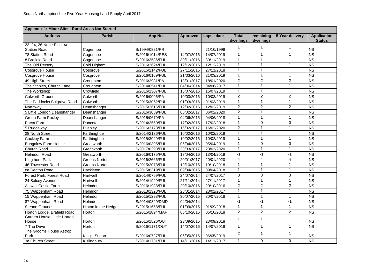|                             | <b>Appendix 1: Minor Sites: Rural Areas Not Started</b> |                 |                 |            |                    |                        |                 |                                     |  |  |
|-----------------------------|---------------------------------------------------------|-----------------|-----------------|------------|--------------------|------------------------|-----------------|-------------------------------------|--|--|
| <b>Address</b>              | <b>Parish</b>                                           | App No.         | <b>Approved</b> | Lapse date | Total<br>dwellings | remaining<br>dwellings | 5 Year delivery | <b>Application</b><br><b>Status</b> |  |  |
| 23, 24, 26 Nene Rise, r/o   |                                                         |                 |                 |            |                    |                        |                 |                                     |  |  |
| <b>Station Road</b>         | Cogenhoe                                                | S/1994/0821/PR  |                 | 21/10/1999 |                    |                        |                 | <b>NS</b>                           |  |  |
| <b>78 Station Road</b>      | Cogenhoe                                                | S/2016/1014/RES | 14/07/2016      | 14/07/2019 |                    | 1                      |                 | <b>NS</b>                           |  |  |
| 8 Brafield Road             | Cogenhoe                                                | S/2016/2536/FUL | 30/11/2016      | 30/11/2019 |                    |                        |                 | <b>NS</b>                           |  |  |
| The Old Rectory             | Cold Higham                                             | S/2016/2624/FUL | 12/12/2016      | 12/12/2019 |                    |                        |                 | <b>NS</b>                           |  |  |
| Cosgrove House              | Cosgrove                                                | S/2015/2142/FUL | 27/11/2015      | 27/11/2018 |                    |                        |                 | <b>NS</b>                           |  |  |
| Cosgrove House              | Cosgrove                                                | S/2016/0169/FUL | 21/03/2016      | 21/03/2019 |                    |                        |                 | <b>NS</b>                           |  |  |
| 49 High Street              | Croughton                                               | S/2016/2931/PA  | 18/01/2017      | 18/01/2020 | $\overline{2}$     | $\overline{2}$         | $\overline{2}$  | <b>NS</b>                           |  |  |
| The Stables, Church Lane    | Croughton                                               | S/2014/0541/FUL | 04/06/2014      | 04/06/2017 |                    |                        |                 | <b>NS</b>                           |  |  |
| The Workshop                | Crowfield                                               | S/2016/1307/FUL | 15/07/2016      | 15/07/2019 |                    |                        |                 | <b>NS</b>                           |  |  |
| <b>Culworth Grounds</b>     | Culworth                                                | S/2016/0096/PA  | 10/03/2016      | 10/03/2019 | $\overline{2}$     | $\overline{2}$         | $\overline{2}$  | <b>NS</b>                           |  |  |
| The Paddocks Sulgrave Road  | Culworth                                                | S/2015/3062/FUL | 01/03/2016      | 01/03/2019 |                    |                        |                 | <b>NS</b>                           |  |  |
| Northway                    | Deanshanger                                             | S/2015/2616/FUL | 12/02/2016      | 12/02/2019 | $\overline{2}$     | $\overline{2}$         | $\overline{2}$  | <b>NS</b>                           |  |  |
| 5 Little London Deanshanger | Deanshanger                                             | S/2016/3089/FUL | 06/02/2017      | 06/02/2020 | $\overline{2}$     |                        |                 | <b>NS</b>                           |  |  |
| <b>Green Farm Puxley</b>    | Deanshanger                                             | S/2015/0679/PA  | 04/06/2015      | 04/06/2018 |                    |                        |                 | <b>NS</b>                           |  |  |
| Parva Farm                  | Duncote                                                 | S/2014/2550/FUL | 17/02/2015      | 17/02/2018 |                    | $\overline{0}$         | 0               | <b>NS</b>                           |  |  |
| 5 Rudgeway                  | Evenley                                                 | S/2016/3178/FUL | 16/02/2017      | 16/02/2020 | $\overline{2}$     |                        |                 | <b>NS</b>                           |  |  |
| 28 North Street             | Farthinghoe                                             | S/2014/2136/FUL | 10/02/2016      | 10/02/2019 |                    |                        |                 | <b>NS</b>                           |  |  |
| <b>Cockley Farm</b>         | Farthinghoe                                             | S/2015/3029/FUL | 10/02/2016      | 10/02/2019 |                    |                        |                 | <b>NS</b>                           |  |  |
| <b>Bungalow Farm House</b>  | Greatworth                                              | S/2016/0395/FUL | 05/04/2016      | 05/04/2019 |                    | $\overline{0}$         | 0               | <b>NS</b>                           |  |  |
| <b>Church Road</b>          | Greatworth                                              | S/2017/0293/FUL | 23/03/2017      | 23/03/2020 |                    |                        |                 | <b>NS</b>                           |  |  |
| <b>Helmdon Road</b>         | Greatworth                                              | S/2016/0175/FUL | 13/04/2016      | 13/04/2019 | $-1$               | -1                     | $-1$            | <b>NS</b>                           |  |  |
| Kingthorn Park              | <b>Greens Norton</b>                                    | S/2016/2666/FUL | 20/01/2017      | 20/01/2020 | 4                  | 4                      | 4               | <b>NS</b>                           |  |  |
| <b>46 Towcester Road</b>    | <b>Greens Norton</b>                                    | S/2015/2078/FUL | 19/10/2015      | 19/10/2018 |                    |                        |                 | <b>NS</b>                           |  |  |
| 8a Denton Road              | Hackleton                                               | S/2015/0319/FUL | 09/04/2015      | 09/04/2018 |                    |                        |                 | <b>NS</b>                           |  |  |
| Forest Park, Forest Road    | Hartwell                                                | S/2014/0759/FUL | 24/07/2014      | 24/07/2017 | 3                  | 3                      | 3               | <b>NS</b>                           |  |  |
| 24 Salcey Avenue            | Hartwell                                                | S/2014/1929/FUL | 27/11/2014      | 27/11/2017 |                    |                        |                 | <b>NS</b>                           |  |  |
| <b>Astwell Castle Farm</b>  | Helmdon                                                 | S/2016/1938/FUL | 20/10/2016      | 20/10/2016 | $\overline{2}$     | $\overline{2}$         | $\overline{2}$  | <b>NS</b>                           |  |  |
| 75 Wappenham Road           | Helmdon                                                 | S/2013/1328/FUL | 28/01/2014      | 28/01/2017 |                    |                        |                 | <b>NS</b>                           |  |  |
| 15 Wappenham Road           | Helmdon                                                 | S/2015/1293/FUL | 30/07/2015      | 30/07/2018 |                    |                        |                 | <b>NS</b>                           |  |  |
| 87 Wappenham Road           | Helmdon                                                 | S/2014/0320/DMD | 04/04/2014      |            | $-1$               | -1                     | $-1$            | <b>NS</b>                           |  |  |
| <b>Steane Grounds</b>       | Hinton in the Hedges                                    | S/2015/1658/FUL | 01/09/2015      | 01/09/2018 |                    |                        |                 | <b>NS</b>                           |  |  |
| Horton Lodge, Brafield Road | Horton                                                  | S/2015/1894/MAF | 05/10/2015      | 05/10/2018 | $\overline{2}$     | 2 <sup>1</sup>         | $\overline{2}$  | <b>NS</b>                           |  |  |
| Garden House, Little Horton |                                                         |                 |                 |            |                    |                        |                 |                                     |  |  |
| House                       | Horton                                                  | S/2015/1826/OUT | 23/09/2015      | 23/09/2018 |                    |                        |                 | <b>NS</b>                           |  |  |
| 7 The Drive                 | Horton                                                  | S/2016/1171/OUT | 14/07/2016      | 14/07/2019 |                    | 1                      | $\mathbf 1$     | <b>NS</b>                           |  |  |
| The Grooms House Astrop     |                                                         |                 |                 |            | $\overline{2}$     |                        |                 |                                     |  |  |
| Park                        | King's Sutton                                           | S/2016/0727/FUL | 06/05/2016      | 06/05/2019 |                    |                        |                 | <b>NS</b>                           |  |  |
| 3a Church Street            | Kislingbury                                             | S/2014/1731/FUL | 14/11/2014      | 14/11/2017 |                    | $\overline{0}$         | $\pmb{0}$       | <b>NS</b>                           |  |  |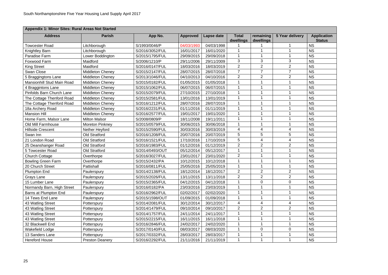| Appendix 1: Minor Sites: Rural Areas Not Started |                         |                 |                 |            |                           |                        |                 |                                     |  |  |  |  |
|--------------------------------------------------|-------------------------|-----------------|-----------------|------------|---------------------------|------------------------|-----------------|-------------------------------------|--|--|--|--|
| <b>Address</b>                                   | <b>Parish</b>           | App No.         | <b>Approved</b> | Lapse date | <b>Total</b><br>dwellings | remaining<br>dwellings | 5 Year delivery | <b>Application</b><br><b>Status</b> |  |  |  |  |
| <b>Towcester Road</b>                            | Litchborough            | S/1993/0046/P   | 04/03/1993      | 04/03/1998 |                           |                        |                 | <b>NS</b>                           |  |  |  |  |
| <b>Knightley Barn</b>                            | Litchborough            | S/2016/3052/FUL | 16/01/2017      | 16/01/2020 |                           |                        |                 | <b>NS</b>                           |  |  |  |  |
| Paradise Farm                                    | Lower Boddington        | S/2015/1795/FUL | 29/09/2015      | 29/09/2018 |                           |                        |                 | <b>NS</b>                           |  |  |  |  |
| Foxwood Farm                                     | Maidford                | S/2006/1210/P   | 29/11/2006      | 29/11/2009 | 3                         | 3                      | 3               | <b>NS</b>                           |  |  |  |  |
| <b>King Street</b>                               | Maidford                | S/2016/0147/FUL | 18/03/2016      | 18/03/2019 | $\overline{2}$            | $\overline{2}$         | $\overline{2}$  | <b>NS</b>                           |  |  |  |  |
| Swan Close                                       | <b>Middleton Cheney</b> | S/2015/2147/FUL | 28/07/2015      | 28/07/2018 | $\overline{7}$            | $\overline{7}$         | $\overline{7}$  | <b>NS</b>                           |  |  |  |  |
| 5 Braggingtons Lane                              | <b>Middleton Cheney</b> | S/2013/1046/FUL | 04/10/2013      | 04/10/2016 | $\overline{2}$            | $\overline{2}$         | $\overline{2}$  | <b>NS</b>                           |  |  |  |  |
| <b>Mansionhill Stud Main Road</b>                | <b>Middleton Cheney</b> | S/2015/0182/FUL | 01/05/2015      | 01/05/2018 |                           |                        |                 | <b>NS</b>                           |  |  |  |  |
| 4 Braggintons Lane                               | <b>Middleton Cheney</b> | S/2015/1062/FUL | 06/07/2015      | 06/07/2015 |                           |                        |                 | <b>NS</b>                           |  |  |  |  |
| Pinfolds Barn Church Lane                        | <b>Middleton Cheney</b> | S/2015/2079/FUL | 27/10/2015      | 27/10/2018 |                           |                        |                 | <b>NS</b>                           |  |  |  |  |
| The Cottage Thenford Road                        | <b>Middleton Cheney</b> | S/2015/2581/FUL | 13/01/2016      | 13/01/2019 |                           |                        |                 | <b>NS</b>                           |  |  |  |  |
| The Cottage Thenford Road                        | <b>Middleton Cheney</b> | S/2016/1212/FUL | 28/07/2016      | 28/07/2019 |                           |                        |                 | <b>NS</b>                           |  |  |  |  |
| 18a Archery Road                                 | <b>Middleton Cheney</b> | S/2016/2231/FUL | 01/11/2016      | 01/11/2019 |                           |                        |                 | <b>NS</b>                           |  |  |  |  |
| <b>Mansion Hill</b>                              | <b>Middleton Cheney</b> | S/2016/2577/FUL | 19/01/2017      | 19/01/2020 |                           |                        |                 | <b>NS</b>                           |  |  |  |  |
| Home Farm, Malsor Lane                           | <b>Milton Malsor</b>    | S/2008/0809/P   | 18/11/2008      | 19/11/2011 |                           |                        |                 | <b>NS</b>                           |  |  |  |  |
| Old Mill Farmhouse                               | <b>Moreton Pinkney</b>  | S/2015/0579/FUL | 30/06/2015      | 30/06/2018 |                           |                        |                 | <b>NS</b>                           |  |  |  |  |
| <b>Hillside Crescent</b>                         | Nether Heyford          | S/2015/2590/FUL | 30/03/2016      | 30/03/2019 | 4                         | 4                      | 4               | <b>NS</b>                           |  |  |  |  |
| Swan Inn                                         | <b>Old Stratford</b>    | S/2016/1208/FUL | 20/07/2016      | 20/07/2019 | 5                         | 5                      | 5               | <b>NS</b>                           |  |  |  |  |
| 21 London Road                                   | <b>Old Stratford</b>    | S/2016/1521/FUL | 17/10/2016      | 17/10/2019 | 5                         | 4                      | 4               | <b>NS</b>                           |  |  |  |  |
| 25 Deanshanger Road                              | <b>Old Stratford</b>    | S/2016/1983/FUL | 01/12/2016      | 01/12/2019 | $\overline{2}$            | 2 <sup>1</sup>         | $\overline{2}$  | <b>NS</b>                           |  |  |  |  |
| 5 Towcester Road                                 | <b>Old Stratford</b>    | S/2014/0493/OUT | 05/12/2014      | 05/12/2017 |                           |                        |                 | <b>NS</b>                           |  |  |  |  |
| <b>Church Cottage</b>                            | Overthorpe              | S/2016/3027/FUL | 23/01/2017      | 23/01/2020 | $\overline{2}$            |                        |                 | <b>NS</b>                           |  |  |  |  |
| <b>Bowling Green Farm</b>                        | Overthorpe              | S/2015/2432/PA  | 10/12/2015      | 10/12/2018 |                           |                        |                 | <b>NS</b>                           |  |  |  |  |
| 20 Church Street                                 | Pattishall              | S/2016/0811/FUL | 25/05/2016      | 25/05/2019 |                           |                        |                 | <b>NS</b>                           |  |  |  |  |
| <b>Plumpton End</b>                              | Paulerspury             | S/2014/2138/FUL | 18/12/2014      | 18/12/2017 | $\overline{2}$            | $2^{\circ}$            | 2               | <b>NS</b>                           |  |  |  |  |
| Grays Lane                                       | Paulerspury             | S/2015/2026/FUL | 13/11/2015      | 13/11/2018 | $\overline{2}$            | $\overline{2}$         | $\overline{2}$  | <b>NS</b>                           |  |  |  |  |
| 15 Lumber Lane                                   | Paulerspury             | S/2015/2365/FUL | 04/12/2015      | 04/12/2018 |                           | $\overline{0}$         | 0               | <b>NS</b>                           |  |  |  |  |
| Normandy Barn, High Street                       | Paulerspury             | S/2016/0182/PA  | 23/03/2016      | 23/03/2019 |                           |                        |                 | <b>NS</b>                           |  |  |  |  |
| Barns at Plumpton End                            | Paulerspury             | S/2016/2962/FUL | 02/02/2017      | 02/02/2020 |                           |                        |                 | <b>NS</b>                           |  |  |  |  |
| 14 Tews End Lane                                 | Paulerspury             | S/2015/1598/OUT | 01/09/2015      | 01/09/2018 |                           |                        |                 | <b>NS</b>                           |  |  |  |  |
| 43 Watling Street                                | Potterspury             | S/2014/2081/FUL | 30/12/2014      | 30/12/2017 | 4                         | 4                      | 4               | <b>NS</b>                           |  |  |  |  |
| 43 Watling Street                                | Potterspury             | S/2014/1479/FUL | 09/10/2014      | 09/10/2017 | $\overline{2}$            | $\overline{2}$         | $\overline{2}$  | <b>NS</b>                           |  |  |  |  |
| 43 Watling Street                                | Potterspury             | S/2014/1757/FUL | 24/11/2014      | 24/11/2017 |                           |                        |                 | <b>NS</b>                           |  |  |  |  |
| 43 Watling Street                                | Potterspury             | S/2015/2215/FUL | 16/11/2015      | 16/11/2018 |                           |                        |                 | <b>NS</b>                           |  |  |  |  |
| 32 Blackwell End                                 | Potterspury             | S/2016/2846/FUL | 24/02/2017      | 24/02/2020 |                           |                        |                 | <b>NS</b>                           |  |  |  |  |
| <b>Wakefield Lodge</b>                           | Potterspury             | S/2017/0140/FUL | 08/03/2017      | 08/03/2020 |                           | $\overline{0}$         | 0               | <b>NS</b>                           |  |  |  |  |
| 13 Sanders Lane                                  | Potterspury             | S/2017/0332/FUL | 28/03/2017      | 28/03/2017 |                           |                        |                 | <b>NS</b>                           |  |  |  |  |
| <b>Hereford House</b>                            | <b>Preston Deanery</b>  | S/2016/2292/FUL | 21/11/2016      | 21/11/2019 |                           |                        | 1               | <b>NS</b>                           |  |  |  |  |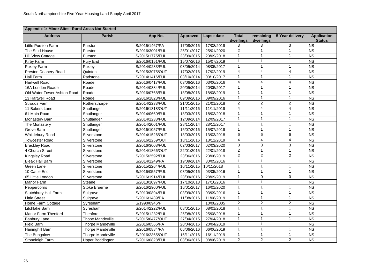| Appendix 1: Minor Sites: Rural Areas Not Started |                          |                 |                 |                   |                           |                        |                 |                                     |  |  |  |  |
|--------------------------------------------------|--------------------------|-----------------|-----------------|-------------------|---------------------------|------------------------|-----------------|-------------------------------------|--|--|--|--|
| <b>Address</b>                                   | <b>Parish</b>            | App No.         | <b>Approved</b> | <b>Lapse date</b> | <b>Total</b><br>dwellings | remaining<br>dwellings | 5 Year delivery | <b>Application</b><br><b>Status</b> |  |  |  |  |
| <b>Little Purston Farm</b>                       | Purston                  | S/2016/1467/PA  | 17/08/2016      | 17/08/2019        | 3                         |                        | 3               | <b>NS</b>                           |  |  |  |  |
| The Stud House                                   | Purston                  | S/2016/3001/FUL | 25/01/2017      | 25/01/2020        | $\overline{2}$            |                        |                 | <b>NS</b>                           |  |  |  |  |
| <b>Hill View Cottage</b>                         | Purston                  | S/2015/1775/FUL | 23/09/2015      | 23/09/2018        |                           | 1                      |                 | <b>NS</b>                           |  |  |  |  |
| Kirby Farm                                       | Pury End                 | S/2016/0151/FUL | 15/07/2016      | 15/07/2019        |                           |                        |                 | <b>NS</b>                           |  |  |  |  |
| <b>Puxley Farm</b>                               | Puxley                   | S/2014/0233/FUL | 08/05/2014      | 08/05/2017        |                           |                        |                 | <b>NS</b>                           |  |  |  |  |
| <b>Preston Deanery Road</b>                      | Quinton                  | S/2015/3075/OUT | 17/02/2016      | 17/02/2019        | 4                         | 4                      | 4               | <b>NS</b>                           |  |  |  |  |
| <b>Hall Farm</b>                                 | Radstone                 | S/2014/1416/FUL | 03/10/2014      | 03/10/2017        |                           |                        |                 | <b>NS</b>                           |  |  |  |  |
| <b>Hartwell Road</b>                             | Roade                    | S/2016/0417/FUL | 03/06/2016      | 03/06/2016        | 4                         | 4                      | 4               | <b>NS</b>                           |  |  |  |  |
| 16A London Roade                                 | Roade                    | S/2014/0384/FUL | 20/05/2014      | 20/05/2017        |                           |                        |                 | <b>NS</b>                           |  |  |  |  |
| Old Water Tower Ashton Road                      | Roade                    | S/2016/0768/FUL | 18/08/2016      | 18/08/2019        |                           |                        |                 | <b>NS</b>                           |  |  |  |  |
| 13 Hartwell Road                                 | Roade                    | S/2016/1823/FUL | 09/09/2016      | 09/09/2016        |                           |                        |                 | <b>NS</b>                           |  |  |  |  |
| <b>Strouds Farm</b>                              | Rothersthorpe            | S/2014/2233/FUL | 21/01/2015      | 21/01/2018        | $\overline{2}$            | $\overline{2}$         | $\overline{2}$  | <b>NS</b>                           |  |  |  |  |
| 11 Bakers Lane                                   | Shutlanger               | S/2016/1318/OUT | 11/11/2016      | 11/11/2019        | 4                         | 4                      | 4               | <b>NS</b>                           |  |  |  |  |
| 61 Main Road                                     | Shutlanger               | S/2014/0660/FUL | 18/03/2015      | 18/03/2018        |                           |                        |                 | <b>NS</b>                           |  |  |  |  |
| <b>Monastery Barn</b>                            | Shutlanger               | S/2014/1238/FUL | 12/09/2014      | 12/09/2017        |                           |                        |                 | <b>NS</b>                           |  |  |  |  |
| The Monastery                                    | Shutlanger               | S/2014/2001/FUL | 28/11/2014      | 28/11/2017        |                           |                        |                 | <b>NS</b>                           |  |  |  |  |
| Grove Barn                                       | Shutlanger               | S/2016/1057/FUL | 15/07/2016      | 15/07/2019        |                           |                        |                 | <b>NS</b>                           |  |  |  |  |
| <b>Whittlebury Road</b>                          | Silverstone              | S/2014/1526/OUT | 13/03/2015      | 13/03/2018        | 6                         | 6                      | 6               | <b>NS</b>                           |  |  |  |  |
| <b>Towcester Road</b>                            | Silverstone              | S/2016/2259/OUT | 18/11/2016      | 18/11/2019        | 4                         | 4                      | 4               | <b>NS</b>                           |  |  |  |  |
| <b>Brackley Road</b>                             | Silverstone              | S/2016/3008/FUL | 02/03/2017      | 02/03/2020        | 3                         | 3                      | 3               | <b>NS</b>                           |  |  |  |  |
| 4 Church Street                                  | Silverstone              | S/2014/1866/OUT | 22/01/2015      | 22/01/2018        | $\overline{2}$            |                        |                 | <b>NS</b>                           |  |  |  |  |
| <b>Kingsley Road</b>                             | Silverstone              | S/2015/2592/FUL | 23/06/2016      | 23/06/2019        | $\overline{2}$            | $\overline{2}$         | $\overline{2}$  | <b>NS</b>                           |  |  |  |  |
| <b>Bleak Hall Barn</b>                           | Silverstone              | S/2014/1249/PA  | 19/09/2014      | 30/05/2016        |                           |                        |                 | <b>NS</b>                           |  |  |  |  |
| Green Lane                                       | Silverstone              | S/2015/2264/FUL | 10/11/2015      | 10/11/2018        |                           |                        |                 | <b>NS</b>                           |  |  |  |  |
| 10 Cattle End                                    | Silverstone              | S/2016/0557/FUL | 03/05/2016      | 03/05/2016        |                           |                        |                 | <b>NS</b>                           |  |  |  |  |
| 65 Little London                                 | Silverstone              | S/2016/1914/FUL | 28/09/2016      | 28/09/2019        |                           | $\overline{0}$         | 0               | <b>NS</b>                           |  |  |  |  |
| <b>Manor Farm</b>                                | <b>Steane</b>            | S/2013/1097/FUL | 17/10/2013      | 17/10/2016        |                           |                        |                 | <b>NS</b>                           |  |  |  |  |
| Peppercorns                                      | <b>Stoke Bruerne</b>     | S/2016/2900/FUL | 16/01/2017      | 16/01/2020        |                           |                        |                 | <b>NS</b>                           |  |  |  |  |
| <b>Stutchbury Hall Farm</b>                      | Sulgrave                 | S/2013/0894/FUL | 03/09/2013      | 03/09/2016        |                           |                        |                 | <b>NS</b>                           |  |  |  |  |
| <b>Little Street</b>                             | Sulgrave                 | S/2016/1439/PA  | 11/08/2016      | 11/08/2019        |                           |                        |                 | <b>NS</b>                           |  |  |  |  |
| Home Farm Cottage                                | Syresham                 | S/1990/0946/P   |                 | 10/08/2005        | $\overline{2}$            | $\overline{2}$         | $\overline{2}$  | <b>NS</b>                           |  |  |  |  |
| Litchlake Barn                                   | Syresham                 | S/2014/2222/FUL | 08/01/2015      | 08/01/2018        |                           |                        |                 | <b>NS</b>                           |  |  |  |  |
| <b>Manor Farm Thenford</b>                       | <b>Thenford</b>          | S/2015/1282/FUL | 25/08/2015      | 25/08/2018        |                           |                        |                 | <b>NS</b>                           |  |  |  |  |
| <b>Banbury Lane</b>                              | <b>Thope Mandeville</b>  | S/2015/0477/OUT | 27/04/2015      | 27/04/2018        |                           |                        |                 | <b>NS</b>                           |  |  |  |  |
| <b>Field Barn</b>                                | <b>Thorpe Mandeville</b> | S/2016/0566/PA  | 20/04/2016      | 20/04/2019        |                           |                        |                 | <b>NS</b>                           |  |  |  |  |
| Haninghill Barn                                  | <b>Thorpe Mandeville</b> | S/2016/0884/PA  | 06/06/2016      | 06/06/2019        |                           |                        |                 | <b>NS</b>                           |  |  |  |  |
| The Bungalow                                     | <b>Thorpe Mandeville</b> | S/2016/2365/OUT | 16/11/2016      | 16/11/2019        |                           |                        |                 | <b>NS</b>                           |  |  |  |  |
| Stoneleigh Farm                                  | <b>Upper Boddington</b>  | S/2016/0828/FUL | 08/06/2016      | 08/06/2019        | $\overline{2}$            | $\overline{2}$         | $\overline{2}$  | <b>NS</b>                           |  |  |  |  |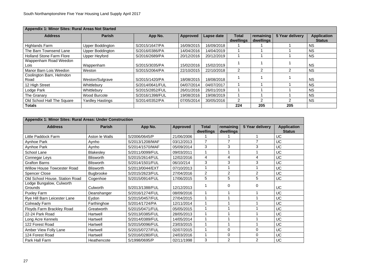| Appendix 1: Minor Sites: Rural Areas Not Started |                         |                 |            |            |                    |                        |                        |                                     |  |  |  |  |  |
|--------------------------------------------------|-------------------------|-----------------|------------|------------|--------------------|------------------------|------------------------|-------------------------------------|--|--|--|--|--|
| <b>Address</b>                                   | <b>Parish</b>           | App No.         | Approved   | Lapse date | Total<br>dwellings | remaining<br>dwellings | <b>5 Year delivery</b> | <b>Application</b><br><b>Status</b> |  |  |  |  |  |
| <b>Highlands Farm</b>                            | <b>Upper Boddington</b> | S/2015/1647/PA  | 16/09/2015 | 16/09/2018 |                    |                        |                        | <b>NS</b>                           |  |  |  |  |  |
| The Barn Townsend Lane                           | <b>Upper Boddington</b> | S/2016/0386/PA  | 14/04/2016 | 14/04/2019 |                    |                        |                        | <b>NS</b>                           |  |  |  |  |  |
| <b>Holland Stone Farm Flore</b>                  | <b>Upper Heyford</b>    | S/2016/2689/PA  | 20/12/2016 | 20/12/2019 |                    |                        |                        | <b>NS</b>                           |  |  |  |  |  |
| Wappenham Road Weedon<br>Lois                    | Wappenham               | S/2015/3035/PA  | 15/02/2016 | 15/02/2019 |                    |                        |                        | <b>NS</b>                           |  |  |  |  |  |
| Manor Barn Lois Weedon                           | Weston                  | S/2015/2064/PA  | 22/10/2015 | 22/10/2018 | $\overline{2}$     | $\overline{2}$         | 2                      | <b>NS</b>                           |  |  |  |  |  |
| Coolington Barn, Helmdon<br>Road                 | Weston/Sulgrave         | S/2015/1420/PA  | 18/08/2015 | 18/08/2018 |                    |                        |                        | <b>NS</b>                           |  |  |  |  |  |
| 12 High Street                                   | Whittlebury             | S/2014/0641/FUL | 04/07/2014 | 04/07/2017 |                    |                        |                        | <b>NS</b>                           |  |  |  |  |  |
| Lodge Park                                       | Whittlebury             | S/2015/2852/FUL | 26/01/2016 | 26/01/2019 |                    |                        |                        | <b>NS</b>                           |  |  |  |  |  |
| <b>The Granary</b>                               | Wood Burcote            | S/2016/1398/FUL | 19/08/2016 | 19/08/2019 |                    |                        |                        | <b>NS</b>                           |  |  |  |  |  |
| Old School Hall The Square                       | <b>Yardley Hastings</b> | S/2014/0352/PA  | 07/05/2014 | 30/05/2016 | $\overline{2}$     | 2                      |                        | <b>NS</b>                           |  |  |  |  |  |
| <b>Totals</b>                                    |                         |                 |            |            | 224                | 205                    | 205                    |                                     |  |  |  |  |  |

## **Appendix 1: Minor Sites: Rural Areas: Under Construction**



| <b>Address</b>                      | <b>Parish</b>    | App No.         | <b>Approved</b> | <b>Total</b><br>dwellings | remaining<br>dwellings | 5 Year delivery | <b>Applicatio</b><br><b>Status</b> |
|-------------------------------------|------------------|-----------------|-----------------|---------------------------|------------------------|-----------------|------------------------------------|
| Little Paddock Farm                 | Aston le Walls   | S/2006/0645/P   | 21/06/2006      |                           |                        |                 | <b>UC</b>                          |
| <b>Aynhoe Park</b>                  | Aynho            | S/2013/1208/MAF | 03/12/2013      | $\overline{7}$            | $\overline{7}$         | $\overline{7}$  | <b>UC</b>                          |
| <b>Aynhoe Park</b>                  | Aynho            | S/2014/1570/MAF | 05/09/2014      | 3                         | 3                      | 3               | <b>UC</b>                          |
| <b>School Lane</b>                  | <b>Blakesley</b> | S/2011/0099/FUL | 09/03/2011      |                           |                        |                 | <b>UC</b>                          |
| Connegar Leys                       | <b>Blisworth</b> | S/2015/2614/FUL | 12/02/2016      | $\overline{4}$            | $\overline{4}$         | $\overline{4}$  | <b>UC</b>                          |
| <b>Grafton Barns</b>                | <b>Blisworth</b> | S/2014/1501/FUL | 06/10/214       | 3                         | 3                      | 3               | UC                                 |
| <b>Willow House Towcester Road</b>  | <b>Blisworth</b> | S/2013/0044/EXT | 07/10/2013      |                           |                        |                 | <b>UC</b>                          |
| <b>Spencer Close</b>                | <b>Bugbrooke</b> | S/2015/2623/FUL | 27/04/2016      | $\overline{2}$            | $\overline{2}$         | $\overline{2}$  | <b>UC</b>                          |
| Old School House, Station Road      | Cogenhoe         | S/2015/0914/FUL | 17/06/2015      | 5                         | 5                      | 5               | <b>UC</b>                          |
| Lodge Bungalow, Culworth<br>Grounds | Culworth         | S/2013/1388/FUL | 12/12/2013      |                           | $\mathbf 0$            | 0               | <b>UC</b>                          |
| <b>Puxley Farm</b>                  | Deanshanger      | S/2016/1274/FUL | 08/09/2016      |                           |                        |                 | <b>UC</b>                          |
| Rye Hill Barn Leicester Lane        | Eydon            | S/2015/0457/FUL | 27/04/2015      |                           |                        |                 | <b>UC</b>                          |
| Colready Farm                       | Farthinghoe      | S/2014/1724/PA  | 12/11/2014      |                           |                        |                 | <b>UC</b>                          |
| <b>Floyds Farm Brackley Road</b>    | Greatworth       | S/2015/0471/FUL | 05/05/2015      |                           |                        |                 | <b>UC</b>                          |
| 22-24 Park Road                     | Hartwell         | S/2013/0385/FUL | 28/05/2013      |                           |                        |                 | <b>UC</b>                          |
| Long Acre Kennels                   | Hartwell         | S/2014/0389/FUL | 14/05/2014      |                           |                        |                 | <b>UC</b>                          |
| 122 Forest Road                     | Hartwell         | S/2015/0096/FUL | 23/03/2015      |                           |                        |                 | <b>UC</b>                          |
| Amber View Folly Lane               | Hartwell         | S/2015/0727/FUL | 02/07/2015      |                           | $\overline{0}$         | 0               | <b>UC</b>                          |
| 124 Forest Road                     | Hartwell         | S/2016/0280/FUL | 24/03/2016      |                           | $\mathbf 0$            | $\mathbf 0$     | <b>UC</b>                          |
| Park Hall Farm                      | Heathencote      | S/1998/0695/P   | 02/11/1998      | 3                         | $\overline{2}$         | $\overline{2}$  | <b>UC</b>                          |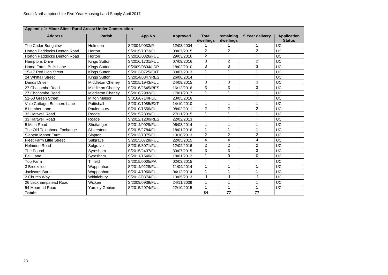| <b>Appendix 1: Minor Sites: Rural Areas: Under Construction</b> |                         |                 |                 |                           |                        |                 |                                     |  |  |  |  |  |
|-----------------------------------------------------------------|-------------------------|-----------------|-----------------|---------------------------|------------------------|-----------------|-------------------------------------|--|--|--|--|--|
| <b>Address</b>                                                  | <b>Parish</b>           | App No.         | <b>Approved</b> | <b>Total</b><br>dwellings | remaining<br>dwellings | 5 Year delivery | <b>Application</b><br><b>Status</b> |  |  |  |  |  |
| The Cedar Bungalow                                              | Helmdon                 | S/2004/0033/P   | 12/03/2004      |                           |                        | 1               | <b>UC</b>                           |  |  |  |  |  |
| Horton Paddocks Denton Road                                     | Horton                  | S/2015/1073/FUL | 08/07/2015      | $\overline{2}$            | $\overline{2}$         | $\overline{2}$  | <b>UC</b>                           |  |  |  |  |  |
| <b>Horton Paddocks Denton Road</b>                              | Horton                  | S/2016/0326/FUL | 29/03/2016      | $\overline{2}$            | 1                      | $\mathbf 1$     | <b>UC</b>                           |  |  |  |  |  |
| <b>Hamptons Drive</b>                                           | <b>Kings Sutton</b>     | S/2016/1731/FUL | 07/09/2016      | 3                         | $\overline{2}$         | $\overline{2}$  | <b>UC</b>                           |  |  |  |  |  |
| Home Farm, Bulls Lane                                           | <b>Kings Sutton</b>     | S/2009/0834/LDP | 18/02/2010      | 3                         | 3                      | 3               | <b>UC</b>                           |  |  |  |  |  |
| 15-17 Red Lion Street                                           | <b>Kings Sutton</b>     | S/2013/0725/EXT | 30/07/2013      |                           |                        | $\overline{1}$  | <b>UC</b>                           |  |  |  |  |  |
| 24 Whittall Street                                              | <b>Kings Sutton</b>     | S/2014/0847/RES | 26/08/2014      |                           |                        | $\overline{1}$  | <b>UC</b>                           |  |  |  |  |  |
| <b>Dands Drive</b>                                              | <b>Middleton Cheney</b> | S/2015/1943/FUL | 24/09/2015      | 3                         | 3                      | 3               | <b>UC</b>                           |  |  |  |  |  |
| 27 Chacombe Road                                                | <b>Middleton Cheney</b> | S/2016/2645/RES | 16/12/2016      | 3                         | 3                      | 3               | <b>UC</b>                           |  |  |  |  |  |
| 27 Chacombe Road                                                | <b>Middleton Cheney</b> | S/2016/2982/FUL | 17/01/2017      |                           |                        | $\mathbf 1$     | <b>UC</b>                           |  |  |  |  |  |
| 51-53 Green Street                                              | <b>Milton Malsor</b>    | S/016/0714/FUL  | 23/05/2016      |                           |                        | 1               | <b>UC</b>                           |  |  |  |  |  |
| Vale Cottage, Butchers Lane                                     | Pattishall              | S/2010/1085/EXT | 14/10/2010      |                           |                        | $\mathbf 1$     | <b>UC</b>                           |  |  |  |  |  |
| 8 Lumber Lane                                                   | Paulerspury             | S/2010/1556/FUL | 08/02/2011      | $\overline{2}$            | $\overline{2}$         | $\overline{2}$  | <b>UC</b>                           |  |  |  |  |  |
| 33 Hartwell Road                                                | Roade                   | S/2015/2339/FUL | 27/11/2015      |                           |                        | 1               | <b>UC</b>                           |  |  |  |  |  |
| 33 Hartwell Road                                                | Roade                   | S/2012/1200/RES | 22/02/2013      | $\mathbf 1$               | 1                      | $\mathbf 1$     | <b>UC</b>                           |  |  |  |  |  |
| 5 Main Road                                                     | Shutlanger              | S/2014/0029/FUL | 06/03/2014      |                           |                        | $\overline{1}$  | <b>UC</b>                           |  |  |  |  |  |
| The Old Telephone Exchange                                      | Silverstone             | S/2015/2784/FUL | 18/01/2016      |                           |                        | $\overline{1}$  | <b>UC</b>                           |  |  |  |  |  |
| <b>Slapton Manor Farm</b>                                       | Slapton                 | S/2013/1075/FUL | 10/10/2013      | $\overline{2}$            | $\overline{2}$         | $\overline{2}$  | <b>UC</b>                           |  |  |  |  |  |
| <b>Fleet Farm Little Street</b>                                 | Sulgrave                | S/2015/0728/FUL | 22/05/2015      | $\overline{4}$            | $\overline{4}$         | $\overline{4}$  | <b>UC</b>                           |  |  |  |  |  |
| <b>Helmdon Road</b>                                             | Sulgrave                | S/2015/3071/FUL | 12/02/2016      | $\overline{2}$            | $\overline{2}$         | $\overline{2}$  | <b>UC</b>                           |  |  |  |  |  |
| The Pound                                                       | Syresham                | S/2015/2437/FUL | 30/07/2015      | 3                         | $\mathbf{3}$           | $\mathbf{3}$    | <b>UC</b>                           |  |  |  |  |  |
| <b>Bell Lane</b>                                                | Syresham                | S/2011/1540/FUL | 18/01/2012      |                           | $\overline{0}$         | $\overline{0}$  | <b>UC</b>                           |  |  |  |  |  |
| <b>Top Farm</b>                                                 | <b>Tiffield</b>         | S/2015/0005/PA  | 02/03/2015      |                           | 1                      | $\mathbf 1$     | <b>UC</b>                           |  |  |  |  |  |
| 3 Brookside                                                     | Wappenham               | S/2014/0228/FUL | 11/04/2014      |                           |                        | 1               | <b>UC</b>                           |  |  |  |  |  |
| Jacksons Barn                                                   | Wappenham               | S/2014/1960/FUL | 04/12/2014      |                           |                        | 1               | <b>UC</b>                           |  |  |  |  |  |
| 2 Church Way                                                    | Whittlebury             | S/2013/0374/FUL | 13/05/2013      | $-1$                      | $-1$                   | $-1$            | <b>UC</b>                           |  |  |  |  |  |
| 26 Leckhampstead Road                                           | Wicken                  | S/2009/0939/FUL | 24/11/2009      |                           |                        | $\mathbf 1$     | <b>UC</b>                           |  |  |  |  |  |
| 54 Moorend Road                                                 | <b>Yardley Gobion</b>   | S/2015/2074/FUL | 22/10/2015      | 1                         | 1                      | $\mathbf{1}$    | <b>UC</b>                           |  |  |  |  |  |
| <b>Totals</b>                                                   |                         |                 |                 | 84                        | 77                     | 77              |                                     |  |  |  |  |  |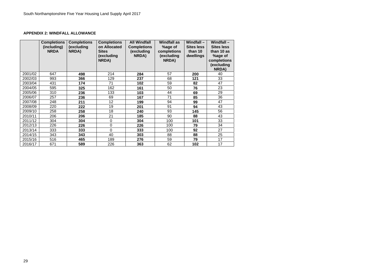#### **APPENDIX 2: WINDFALL ALLOWANCE**

|         | <b>Completions</b><br>(including)<br><b>NRDA</b> | <b>Completions</b><br>(excluding<br>NRDA) | <b>Completions</b><br>on Allocated<br><b>Sites</b><br>(excluding<br>NRDA) | <b>All Windfall</b><br><b>Completions</b><br>(excluding<br>NRDA) | <b>Windfall as</b><br>%age of<br>completions<br>(excluding<br>NRDA) | Windfall $-$<br><b>Sites less</b><br>than 10<br>dwellings | <b>Windfall-</b><br><b>Sites less</b><br>than 10 as<br>%age of<br>completions<br>(excluding<br><b>NRDA)</b> |
|---------|--------------------------------------------------|-------------------------------------------|---------------------------------------------------------------------------|------------------------------------------------------------------|---------------------------------------------------------------------|-----------------------------------------------------------|-------------------------------------------------------------------------------------------------------------|
| 2001/02 | 647                                              | 498                                       | 214                                                                       | 284                                                              | 57                                                                  | 200                                                       | 40                                                                                                          |
| 2002/03 | 993                                              | 366                                       | 129                                                                       | 237                                                              | 68                                                                  | 121                                                       | 33                                                                                                          |
| 2003/04 | 431                                              | 174                                       | 71                                                                        | 102                                                              | 59                                                                  | 82                                                        | 47                                                                                                          |
| 2004/05 | 595                                              | 325                                       | 162                                                                       | 161                                                              | 50                                                                  | 76                                                        | 23                                                                                                          |
| 2005/06 | 310                                              | 236                                       | 133                                                                       | 103                                                              | 44                                                                  | 69                                                        | 29                                                                                                          |
| 2006/07 | 257                                              | 236                                       | 69                                                                        | 167                                                              | 71                                                                  | 85                                                        | 36                                                                                                          |
| 2007/08 | 248                                              | 211                                       | 12                                                                        | 199                                                              | 94                                                                  | 99                                                        | 47                                                                                                          |
| 2008/09 | 220                                              | 222                                       | 19                                                                        | 201                                                              | 91                                                                  | 94                                                        | 43                                                                                                          |
| 2009/10 | 258                                              | 258                                       | 18                                                                        | 240                                                              | 93                                                                  | 145                                                       | 56                                                                                                          |
| 2010/11 | 206                                              | 206                                       | 21                                                                        | 185                                                              | 90                                                                  | 88                                                        | 43                                                                                                          |
| 2011/12 | 304                                              | 304                                       | $\overline{0}$                                                            | 304                                                              | 100                                                                 | 101                                                       | 33                                                                                                          |
| 2012/13 | 226                                              | 226                                       | $\overline{0}$                                                            | 226                                                              | 100                                                                 | 79                                                        | 34                                                                                                          |
| 2013/14 | 333                                              | 333                                       | $\overline{0}$                                                            | 333                                                              | 100                                                                 | 92                                                        | 27                                                                                                          |
| 2014/15 | 343                                              | 343                                       | 40                                                                        | 303                                                              | 88                                                                  | 88                                                        | 25                                                                                                          |
| 2015/16 | 516                                              | 465                                       | 189                                                                       | 276                                                              | 59                                                                  | 79                                                        | 17                                                                                                          |
| 2016/17 | 671                                              | 589                                       | 226                                                                       | 363                                                              | 62                                                                  | 102                                                       | 17                                                                                                          |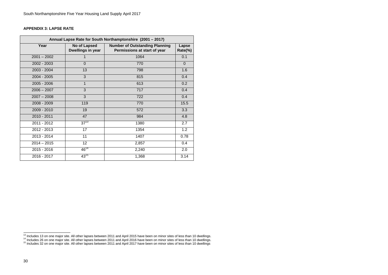#### **APPENDIX 3: LAPSE RATE**

| Annual Lapse Rate for South Northamptonshire (2001 - 2017) |                                   |                                                                       |                  |  |  |  |  |  |  |
|------------------------------------------------------------|-----------------------------------|-----------------------------------------------------------------------|------------------|--|--|--|--|--|--|
| Year                                                       | No of Lapsed<br>Dwellings in year | <b>Number of Outstanding Planning</b><br>Permissions at start of year | Lapse<br>Rate(%) |  |  |  |  |  |  |
| $2001 - 2002$                                              | 1                                 | 1064                                                                  | 0.1              |  |  |  |  |  |  |
| 2002 - 2003                                                | $\overline{0}$                    | 770                                                                   | $\overline{0}$   |  |  |  |  |  |  |
| 2003 - 2004                                                | 13                                | 798                                                                   | 1.6              |  |  |  |  |  |  |
| 2004 - 2005                                                | 3                                 | 815                                                                   | 0.4              |  |  |  |  |  |  |
| $2005 - 2006$                                              | $\mathbf 1$                       | 613                                                                   | 0.2              |  |  |  |  |  |  |
| $2006 - 2007$                                              | 3                                 | 717                                                                   | 0.4              |  |  |  |  |  |  |
| $2007 - 2008$                                              | $\overline{3}$                    | 722                                                                   | 0.4              |  |  |  |  |  |  |
| $2008 - 2009$                                              | 119                               | 770                                                                   | 15.5             |  |  |  |  |  |  |
| 2009 - 2010                                                | 19                                | 572                                                                   | 3.3              |  |  |  |  |  |  |
| 2010 - 2011                                                | 47                                | 984                                                                   | 4.8              |  |  |  |  |  |  |
| 2011 - 2012                                                | $37^{13}$                         | 1380                                                                  | 2.7              |  |  |  |  |  |  |
| 2012 - 2013                                                | 17                                | 1354                                                                  | 1.2              |  |  |  |  |  |  |
| 2013 - 2014                                                | 11                                | 1407                                                                  | 0.78             |  |  |  |  |  |  |
| $2014 - 2015$                                              | 12                                | 2,857                                                                 | 0.4              |  |  |  |  |  |  |
| $2015 - 2016$                                              | $46^{14}$                         | 2,240                                                                 | 2.0              |  |  |  |  |  |  |
| 2016 - 2017                                                | $43^{15}$                         | 1,368                                                                 | 3.14             |  |  |  |  |  |  |

 $\frac{13}{14}$  Includes 13 on one major site. All other lapses between 2011 and April 2015 have been on minor sites of less than 10 dwellings.<br><sup>14</sup> Includes 26 on one major site. All other lapses between 2011 and April 2016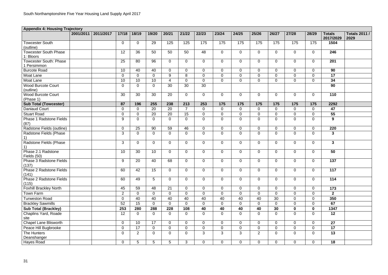| <b>Appendix 4: Housing Trajectory</b>      |           |           |                |                |                 |                          |                |                |                |                |                  |                  |                |                |                            |                              |
|--------------------------------------------|-----------|-----------|----------------|----------------|-----------------|--------------------------|----------------|----------------|----------------|----------------|------------------|------------------|----------------|----------------|----------------------------|------------------------------|
|                                            | 2001/2011 | 2011/2017 | 17/18          | 18/19          | 19/20           | 20/21                    | 21/22          | 22/23          | 23/24          | 24/25          | 25/26            | 26/27            | 27/28          | 28/29          | <b>Totals</b><br>2017/2029 | <b>Totals 2011 /</b><br>2029 |
| <b>Towcester South</b><br>(outline)        |           |           | $\overline{0}$ | $\overline{0}$ | 29              | 125                      | 125            | 175            | 175            | 175            | 175              | 175              | 175            | 175            | 1504                       |                              |
| <b>Towcester South Phase</b><br>1: Bloors  |           |           | 12             | 36             | 50              | 50                       | 50             | 48             | $\overline{0}$ | $\overline{0}$ | $\mathbf 0$      | $\overline{0}$   | $\overline{0}$ | $\overline{0}$ | 246                        |                              |
| <b>Towcester South: Phase</b><br>Persimmon |           |           | 25             | 80             | 96              | $\overline{0}$           | $\overline{0}$ | $\overline{0}$ | $\Omega$       | $\overline{0}$ | $\overline{0}$   | $\mathbf 0$      | $\overline{0}$ | $\overline{0}$ | 201                        |                              |
| <b>Burcote Road</b>                        |           |           | 10             | 40             | 40              | $\overline{0}$           | $\overline{0}$ | $\overline{0}$ | $\overline{0}$ | $\overline{0}$ | $\mathbf 0$      | $\overline{0}$   | $\overline{0}$ | $\overline{0}$ | 90                         |                              |
| Moat Lane                                  |           |           | $\mathbf 0$    | $\overline{0}$ | $\overline{0}$  | 9                        | 8              | $\overline{0}$ | $\overline{0}$ | $\overline{0}$ | $\overline{0}$   | $\mathbf 0$      | $\overline{0}$ | $\overline{0}$ | 17                         |                              |
| Moat Lane                                  |           |           | 10             | 10             | 10              | $\boldsymbol{\varDelta}$ | $\overline{0}$ | $\overline{0}$ | $\Omega$       | $\Omega$       | $\overline{0}$   | $\overline{0}$   | $\overline{0}$ | $\overline{0}$ | 34                         |                              |
| <b>Wood Burcote Court</b><br>(outline)     |           |           | $\overline{0}$ | $\overline{0}$ | $\overline{0}$  | 30                       | 30             | 30             |                |                |                  |                  |                |                | 90                         |                              |
| <b>Wood Burcote Court</b><br>(Phase 1)     |           |           | 30             | 30             | 30              | 20                       | $\overline{0}$ | $\mathbf 0$    | $\overline{0}$ | $\overline{0}$ | $\overline{0}$   | $\overline{0}$   | $\overline{0}$ | $\overline{0}$ | 110                        |                              |
| <b>Sub Total (Towcester)</b>               |           |           | 87             | 196            | 255             | 238                      | 213            | 253            | 175            | 175            | 175              | 175              | 175            | 175            | 2292                       |                              |
| <b>Daniaud Court</b>                       |           |           | $\overline{0}$ | $\Omega$       | 20              | 20                       | $\overline{7}$ | $\Omega$       | $\Omega$       | $\Omega$       | $\overline{0}$   | $\mathbf 0$      | $\overline{0}$ | $\overline{0}$ | 47                         |                              |
| <b>Stuart Road</b>                         |           |           | $\mathbf 0$    | $\overline{0}$ | 20              | 20                       | 15             | $\overline{0}$ | $\overline{0}$ | $\overline{0}$ | $\mathbf 0$      | $\mathbf 0$      | $\overline{0}$ | $\mathbf 0$    | 55                         |                              |
| <b>Phase 1 Radstone Fields</b><br>(87)     |           |           | 9              | $\overline{0}$ | $\overline{0}$  | $\Omega$                 | $\overline{0}$ | $\overline{0}$ | $\Omega$       | $\Omega$       | $\mathbf 0$      | $\overline{0}$   | $\mathbf 0$    | $\overline{0}$ | 9                          |                              |
| Radstone Fields (outline)                  |           |           | $\mathbf 0$    | 25             | 90              | 59                       | 46             | $\overline{0}$ | $\overline{0}$ | $\overline{0}$ | $\overline{0}$   | $\mathbf 0$      | $\overline{0}$ | $\overline{0}$ | 220                        |                              |
| Radstone Fields (Phase                     |           |           | 3              | $\overline{0}$ | $\mathbf 0$     | $\mathbf 0$              | $\overline{0}$ | $\overline{0}$ | $\mathbf 0$    | $\overline{0}$ | $\boldsymbol{0}$ | $\mathbf 0$      | $\overline{0}$ | $\mathbf 0$    | $\mathbf{3}$               |                              |
| Radstone Fields (Phase                     |           |           | 3              | $\overline{0}$ | $\overline{0}$  | $\overline{0}$           | $\overline{0}$ | $\overline{0}$ | $\overline{0}$ | $\overline{0}$ | $\overline{0}$   | $\mathbf 0$      | $\overline{0}$ | $\overline{0}$ | $\mathbf{3}$               |                              |
| Phase 2.1 Radstone<br>Fields (50)          |           |           | 10             | 30             | 10              | $\overline{0}$           | $\overline{0}$ | $\overline{0}$ | $\overline{0}$ | $\overline{0}$ | $\overline{0}$   | $\overline{0}$   | $\overline{0}$ | $\overline{0}$ | 50                         |                              |
| Phase 3 Radstone Fields<br>(137)           |           |           | 9              | 20             | 40              | 68                       | $\overline{0}$ | $\overline{0}$ | $\overline{0}$ | $\overline{0}$ | $\overline{0}$   | $\mathbf 0$      | $\overline{0}$ | $\overline{0}$ | 137                        |                              |
| Phase 2 Radstone Fields<br>(141)           |           |           | 60             | 42             | 15              | $\overline{0}$           | $\overline{0}$ | $\overline{0}$ | $\overline{0}$ | $\overline{0}$ | $\mathbf 0$      | $\mathbf 0$      | $\mathbf 0$    | $\overline{0}$ | 117                        |                              |
| Phase 2 Radstone Fields<br>(115)           |           |           | 60             | 49             | $5\phantom{.0}$ | $\overline{0}$           | $\overline{0}$ | $\overline{0}$ | $\overline{0}$ | $\overline{0}$ | $\mathbf 0$      | $\mathbf 0$      | $\overline{0}$ | $\overline{0}$ | 114                        |                              |
| <b>Foxhill Brackley North</b>              |           |           | 45             | 59             | 48              | 21                       | $\overline{0}$ | $\overline{0}$ | $\overline{0}$ | $\overline{0}$ | $\overline{0}$   | $\overline{0}$   | $\overline{0}$ | $\overline{0}$ | 173                        |                              |
| Town Farm                                  |           |           | 2              | $\overline{0}$ | $\overline{0}$  | $\overline{0}$           | $\overline{0}$ | $\overline{0}$ | $\overline{0}$ | $\Omega$       | $\overline{0}$   | $\mathbf 0$      | $\overline{0}$ | $\overline{0}$ | $\overline{2}$             |                              |
| <b>Turweston Road</b>                      |           |           | $\mathbf 0$    | 40             | 40              | 40                       | 40             | 40             | 40             | 40             | 40               | 30               | $\overline{0}$ | $\mathbf 0$    | 350                        |                              |
| <b>Brackley Sawmills</b>                   |           |           | 52             | 15             | $\overline{0}$  | $\overline{0}$           | $\overline{0}$ | $\overline{0}$ | $\overline{0}$ | $\overline{0}$ | $\overline{0}$   | $\overline{0}$   | $\overline{0}$ | $\overline{0}$ | 67                         |                              |
| <b>Sub Total (Brackley)</b>                |           |           | 253            | 280            | 288             | 228                      | 108            | 40             | 40             | 40             | 40               | 30               | $\mathbf 0$    | $\mathbf 0$    | 1347                       |                              |
| <b>Chaplins Yard, Roade</b><br>site        |           |           | 12             | $\mathbf{0}$   | $\overline{0}$  | $\overline{0}$           | $\mathbf 0$    | $\overline{0}$ | $\overline{0}$ | $\overline{0}$ | $\overline{0}$   | $\overline{0}$   | $\overline{0}$ | $\overline{0}$ | 12                         |                              |
| <b>Chapel Lane Blisworth</b>               |           |           | $\mathbf 0$    | 10             | 17              | $\overline{0}$           | $\overline{0}$ | $\overline{0}$ | $\overline{0}$ | $\overline{0}$ | $\overline{0}$   | $\overline{0}$   | $\overline{0}$ | $\overline{0}$ | 27                         |                              |
| Peace Hill Bugbrooke                       |           |           | $\overline{0}$ | 17             | $\overline{0}$  | $\overline{0}$           | $\mathbf 0$    | $\overline{0}$ | $\overline{0}$ | $\overline{0}$ | $\overline{0}$   | $\overline{0}$   | $\overline{0}$ | $\overline{0}$ | 17                         |                              |
| The Hunters<br>Deanshanger                 |           |           | $\mathbf 0$    | $\overline{2}$ | $\mathbf 0$     | $\mathbf 0$              | $\overline{0}$ | $\mathbf{3}$   | $\mathbf{3}$   | 3              | $\overline{2}$   | $\boldsymbol{0}$ | $\overline{0}$ | $\overline{0}$ | 13                         |                              |
| Hayes Road                                 |           |           | $\mathbf 0$    | 5 <sup>5</sup> | $5\overline{)}$ | 5                        | $\mathbf{3}$   | $\mathbf 0$    | $\mathbf 0$    | $\overline{0}$ | $\mathbf 0$      | $\overline{0}$   | $\overline{0}$ | $\overline{0}$ | 18                         |                              |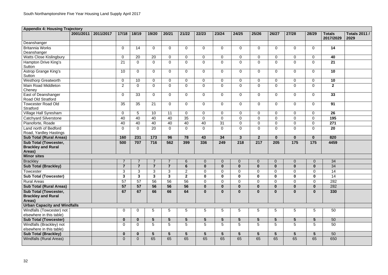| <b>Appendix 4: Housing Trajectory</b>                |           |           |                |                |                 |                         |                 |                 |                |                 |                  |                  |                 |                 |                |                      |
|------------------------------------------------------|-----------|-----------|----------------|----------------|-----------------|-------------------------|-----------------|-----------------|----------------|-----------------|------------------|------------------|-----------------|-----------------|----------------|----------------------|
|                                                      | 2001/2011 | 2011/2017 | 17/18          | 18/19          | 19/20           | 20/21                   | 21/22           | 22/23           | 23/24          | 24/25           | 25/26            | 26/27            | 27/28           | 28/29           | <b>Totals</b>  | <b>Totals 2011 /</b> |
|                                                      |           |           |                |                |                 |                         |                 |                 |                |                 |                  |                  |                 |                 | 2017/2029      | 2029                 |
| Deanshanger                                          |           |           |                |                |                 |                         |                 |                 |                |                 |                  |                  |                 |                 |                |                      |
| <b>Britannia Works</b>                               |           |           | $\overline{0}$ | 14             | $\overline{0}$  | $\overline{0}$          | $\mathbf 0$     | $\overline{0}$  | $\overline{0}$ | $\mathbf{0}$    | $\mathbf 0$      | $\overline{0}$   | $\overline{0}$  | $\mathbf 0$     | 14             |                      |
| Deanshanger                                          |           |           |                |                |                 |                         |                 |                 |                |                 |                  |                  |                 |                 |                |                      |
| <b>Watts Close Kislingbury</b>                       |           |           | $\mathbf 0$    | 20             | 20              | $\overline{0}$          | $\mathbf 0$     | $\overline{0}$  | $\overline{0}$ | $\mathbf{0}$    | $\mathbf 0$      | $\mathbf 0$      | $\mathbf 0$     | $\overline{0}$  | 40             |                      |
| Hampton Drive King's<br>Sutton                       |           |           | 21             | $\overline{0}$ | $\overline{0}$  | $\mathbf 0$             | $\mathbf 0$     | $\overline{0}$  | $\overline{0}$ | $\mathbf{0}$    | $\overline{0}$   | $\mathbf 0$      | $\overline{0}$  | $\mathbf 0$     | 21             |                      |
| <b>Astrop Grange King's</b><br>Sutton                |           |           | 10             | $\Omega$       | $\overline{0}$  | $\overline{0}$          | $\overline{0}$  | $\overline{0}$  | $\overline{0}$ | $\mathbf{0}$    | $\overline{0}$   | $\overline{0}$   | $\overline{0}$  | $\overline{0}$  | 10             |                      |
| <b>Westhorp Greatworth</b>                           |           |           | $\mathbf 0$    | 10             | $\overline{0}$  | $\overline{0}$          | $\overline{0}$  | $\overline{0}$  | $\overline{0}$ | $\overline{0}$  | $\mathbf 0$      | $\mathbf{0}$     | $\overline{0}$  | $\overline{0}$  | 10             |                      |
| Main Road Middleton<br>Cheney                        |           |           | $\overline{2}$ | $\overline{0}$ | $\overline{0}$  | $\overline{0}$          | $\overline{0}$  | $\overline{0}$  | $\overline{0}$ | $\overline{0}$  | $\mathbf 0$      | $\mathbf 0$      | $\overline{0}$  | $\overline{0}$  | $\overline{2}$ |                      |
| East of Deanshanger<br><b>Road Old Stratford</b>     |           |           | $\overline{0}$ | 33             | $\overline{0}$  | $\overline{0}$          | $\overline{0}$  | $\overline{0}$  | $\overline{0}$ | $\mathbf{0}$    | $\mathbf 0$      | $\overline{0}$   | $\overline{0}$  | $\overline{0}$  | 33             |                      |
| <b>Towcester Road Old</b><br>Stratford               |           |           | 35             | 35             | 21              | $\mathbf 0$             | $\overline{0}$  | $\overline{0}$  | $\overline{0}$ | $\overline{0}$  | $\overline{0}$   | $\overline{0}$   | $\overline{0}$  | $\overline{0}$  | 91             |                      |
| Village Hall Syresham                                |           |           | $\overline{0}$ | 5              | 10              | 11                      | $\overline{0}$  | $\overline{0}$  | $\Omega$       | $\overline{0}$  | $\mathbf 0$      | $\mathbf 0$      | $\overline{0}$  | $\overline{0}$  | 26             |                      |
| <b>Catchyard Silverstone</b>                         |           |           | 40             | 40             | 40              | 40                      | 35              | $\overline{0}$  | $\Omega$       | $\Omega$        | $\overline{0}$   | $\Omega$         | $\overline{0}$  | $\mathbf 0$     | 195            |                      |
| Pianoforte, Roade                                    |           |           | 40             | 40             | 40              | 40                      | 40              | 40              | 31             | $\overline{0}$  | $\overline{0}$   | $\mathbf 0$      | $\pmb{0}$       | $\mathbf 0$     | 271            |                      |
| Land north of Bedford                                |           |           | $\overline{0}$ | $\Omega$       | 20              | $\mathbf 0$             | $\overline{0}$  | $\overline{0}$  | $\overline{0}$ | $\mathbf{0}$    | $\mathbf 0$      | $\overline{0}$   | $\overline{0}$  | $\overline{0}$  | 20             |                      |
| Road, Yardley Hastings                               |           |           |                |                |                 |                         |                 |                 |                |                 |                  |                  |                 |                 |                |                      |
| <b>Sub Total (Rural Areas)</b>                       |           |           | 160            | 231            | 173             | 96                      | 78              | 43              | 34             | 3 <sup>5</sup>  | $\overline{2}$   | $\mathbf 0$      | $\mathbf{0}$    | $\mathbf 0$     | 820            |                      |
| <b>Sub Total (Towcester,</b>                         |           |           | 500            | 707            | 716             | 562                     | 399             | 336             | 249            | 218             | 217              | 205              | 175             | 175             | 4459           |                      |
| <b>Brackley and Rural</b><br>Areas)                  |           |           |                |                |                 |                         |                 |                 |                |                 |                  |                  |                 |                 |                |                      |
| <b>Minor sites</b>                                   |           |           |                |                |                 |                         |                 |                 |                |                 |                  |                  |                 |                 |                |                      |
| <b>Brackley</b>                                      |           |           |                |                |                 |                         | $6^{\circ}$     | $\mathbf{0}$    | 0              | $\overline{0}$  | $\theta$         | $\overline{0}$   | $\overline{0}$  | $\mathbf 0$     | 34             |                      |
| <b>Sub Total (Brackley)</b>                          |           |           | $\overline{7}$ | $\overline{7}$ | $\overline{7}$  | $\overline{7}$          | $6\phantom{1}$  | $\mathbf 0$     | $\mathbf{0}$   | $\mathbf 0$     | $\boldsymbol{0}$ | $\boldsymbol{0}$ | $\mathbf 0$     | $\mathbf 0$     | 34             |                      |
| Towcester                                            |           |           | $\mathcal{R}$  | $\mathbf{R}$   | $\mathbf{R}$    | ર                       | $\mathcal{P}$   | $\Omega$        | $\Omega$       | $\Omega$        | $\Omega$         | $\Omega$         | $\overline{0}$  | $\Omega$        | 14             |                      |
| <b>Sub Total (Towcester)</b>                         |           |           | $\mathbf{3}$   | $\mathbf{3}$   | $\mathbf{3}$    | $\overline{\mathbf{3}}$ | $\overline{2}$  | $\mathbf 0$     | $\mathbf 0$    | $\mathbf 0$     | $\mathbf 0$      | $\mathbf 0$      | $\mathbf 0$     | $\mathbf 0$     | 14             |                      |
| <b>Rural Areas</b>                                   |           |           | 57             | 57             | 56              | 56                      | 56              | $\overline{0}$  | $\overline{0}$ | $\overline{0}$  | $\mathbf 0$      | $\mathbf 0$      | $\overline{0}$  | $\overline{0}$  | 282            |                      |
| <b>Sub Total (Rural Areas)</b>                       |           |           | 57             | 57             | 56              | 56                      | 56              | $\mathbf{0}$    | $\mathbf{0}$   | $\mathbf 0$     | $\mathbf{0}$     | $\mathbf{0}$     | $\mathbf{0}$    | $\mathbf 0$     | 282            |                      |
| <b>Sub Total (Towcester,</b>                         |           |           | 67             | 67             | 66              | 66                      | 64              | $\mathbf{0}$    | $\mathbf{0}$   | $\mathbf{0}$    | $\mathbf 0$      | $\mathbf 0$      | $\mathbf 0$     | $\mathbf 0$     | 330            |                      |
| <b>Brackley and Rural</b><br>Areas)                  |           |           |                |                |                 |                         |                 |                 |                |                 |                  |                  |                 |                 |                |                      |
| <b>Urban Capacity and Windfalls</b>                  |           |           |                |                |                 |                         |                 |                 |                |                 |                  |                  |                 |                 |                |                      |
| Windfalls (Towcester) not                            |           |           | $\overline{0}$ | $\overline{0}$ | 5               | 5                       | 5               | 5               | 5              | 5               | 5                | 5                | 5               | 5               | 50             |                      |
| elsewhere in this table)                             |           |           |                |                |                 |                         |                 |                 |                |                 |                  |                  |                 |                 |                |                      |
| <b>Sub Total (Towcester)</b>                         |           |           | $\mathbf{0}$   | $\mathbf{0}$   | $5\phantom{.0}$ | $5\phantom{1}$          | 5               | $5\overline{)}$ | 5              | $5\phantom{.0}$ | $5\phantom{1}$   | 5 <sup>5</sup>   | $5\overline{)}$ | $5\overline{)}$ | 50             |                      |
| Windfalls (Brackley) not<br>elsewhere in this table) |           |           | $\overline{0}$ | $\mathbf 0$    | $5\overline{)}$ | 5                       | $5\overline{)}$ | $5^{\circ}$     | 5 <sup>5</sup> | 5               | 5                | 5                | 5 <sup>5</sup>  | $5\phantom{.0}$ | 50             |                      |
| <b>Sub Total (Brackley)</b>                          |           |           | $\mathbf{0}$   | $\mathbf{0}$   | 5 <sup>5</sup>  | $5\phantom{1}$          | 5 <sup>5</sup>  | 5 <sup>5</sup>  | 5              | $5\phantom{1}$  | $5\phantom{1}$   | 5 <sup>5</sup>   | 5 <sub>5</sub>  | 5 <sup>5</sup>  | 50             |                      |
| <b>Windfalls (Rural Areas)</b>                       |           |           | 0              | $\overline{0}$ | 65              | 65                      | 65              | 65              | 65             | 65              | 65               | 65               | 65              | 65              | 650            |                      |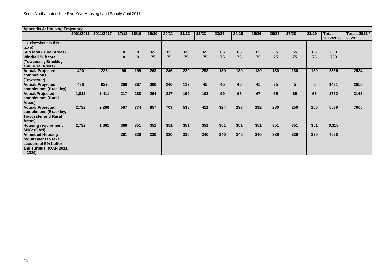| <b>Appendix 4: Housing Trajectory</b>                                                                     |           |           |              |              |       |       |       |       |       |       |       |       |                |       |                            |                              |
|-----------------------------------------------------------------------------------------------------------|-----------|-----------|--------------|--------------|-------|-------|-------|-------|-------|-------|-------|-------|----------------|-------|----------------------------|------------------------------|
|                                                                                                           | 2001/2011 | 2011/2017 | 17/18        | 18/19        | 19/20 | 20/21 | 21/22 | 22/23 | 23/24 | 24/25 | 25/26 | 26/27 | 27/28          | 28/29 | <b>Totals</b><br>2017/2029 | <b>Totals 2011 /</b><br>2029 |
| not elsewhere in this<br>table)                                                                           |           |           |              |              |       |       |       |       |       |       |       |       |                |       |                            |                              |
| <b>Sub total (Rural Areas)</b>                                                                            |           |           | $\mathbf{0}$ | $\mathbf{0}$ | 65    | 65    | 65    | 65    | 65    | 65    | 65    | 65    | 65             | 65    | 650                        |                              |
| <b>Windfall Sub total</b><br>(Towcester, Brackley)<br>and Rural Areas)                                    |           |           | 0            | 0            | 75    | 75    | 75    | 75    | 75    | 75    | 75    | 75    | 75             | 75    | 750                        |                              |
| <b>Actual/ Projected</b><br>completions<br>(Towcester)                                                    | 490       | 228       | 90           | 199          | 263   | 246   | 220   | 258   | 180   | 180   | 180   | 180   | 180            | 180   | 2356                       | 2584                         |
| <b>Actual/ Projected</b><br>completions (Brackley)                                                        | 430       | 627       | 260          | 287          | 300   | 240   | 119   | 45    | 45    | 45    | 45    | 35    | 5 <sup>5</sup> | 5     | 1431                       | 2058                         |
| <b>Actual/Projected</b><br>completions (Rural<br>Areas)                                                   | 1,812     | 1,411     | 217          | 288          | 294   | 217   | 199   | 108   | 99    | 68    | 67    | 65    | 65             | 65    | 1752                       | 3163                         |
| <b>Actual/ Projected</b><br>completions (Brackley,<br><b>Towcester and Rural</b><br>Areas)                | 2,732     | 2,266     | 567          | 774          | 857   | 703   | 538   | 411   | 324   | 293   | 292   | 280   | 250            | 250   | 5539                       | 7805                         |
| <b>Housing requirement</b><br>SNC: (OAN)                                                                  | 2,732     | 1,601     | 386          | 351          | 351   | 351   | 351   | 351   | 351   | 351   | 351   | 351   | 351            | 351   | 6,318                      |                              |
| <b>Amended Housing</b><br>requirement to take<br>account of 5% buffer<br>and surplus (OAN 2011<br>$-2029$ |           |           | 361          | 330          | 330   | 330   | 330   | 340   | 340   | 340   | 340   | 339   | 339            | 339   | 4058                       |                              |